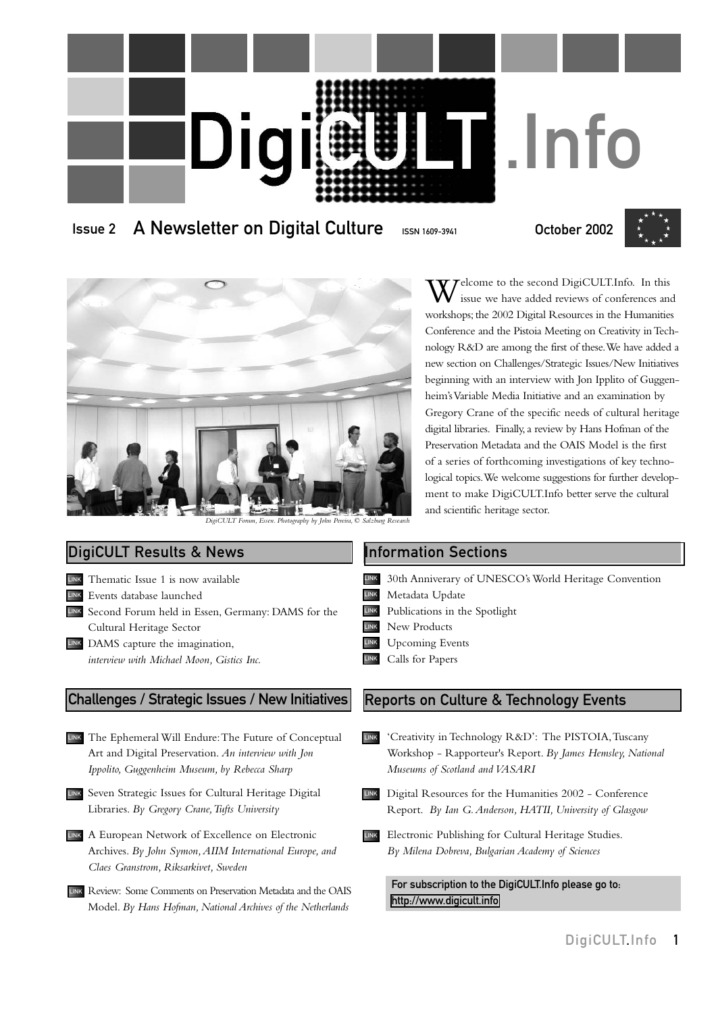

### Issue 2 A Newsletter on Digital Culture ISSN 1609-3941 October 2002





relcome to the second DigiCULT.Info. In this issue we have added reviews of conferences and workshops; the 2002 Digital Resources in the Humanities Conference and the Pistoia Meeting on Creativity in Technology R&D are among the first of these.We have added a new section on Challenges/Strategic Issues/New Initiatives beginning with an interview with Jon Ipplito of Guggenheim's Variable Media Initiative and an examination by Gregory Crane of the specific needs of cultural heritage digital libraries. Finally, a review by Hans Hofman of the Preservation Metadata and the OAIS Model is the first of a series of forthcoming investigations of key technological topics.We welcome suggestions for further development to make DigiCULT.Info better serve the cultural and scientific heritage sector.

*DigiCULT Forum, Essen. Photography by John Pereira, © Salzburg Research* 

### [DigiCULT Results & News](#page-1-0)

|  | LINK Thematic Issue 1 is now available |  |  |  |  |  |
|--|----------------------------------------|--|--|--|--|--|
|--|----------------------------------------|--|--|--|--|--|

- Events database launched LINK
- LINK Second Forum held in Essen, Germany: DAMS for the Cultural Heritage Sector
- DAMS capture the imagination, LINK *interview with Michael Moon, Gistics Inc.*

### [Challenges / Strategic Issues / New Initiatives](#page-8-0)

- LINK The Ephemeral Will Endure: The Future of Conceptual Art and Digital Preservation. *An interview with Jon Ippolito, Guggenheim Museum, by Rebecca Sharp*
- LINK Seven Strategic Issues for Cultural Heritage Digital Libraries. *By Gregory Crane,Tufts University*
- LINK A European Network of Excellence on Electronic Archives. *By John Symon,AIIM International Europe, and Claes Granstrom, Riksarkivet, Sweden*
- LINK Review: Some Comments on Preservation Metadata and the OAIS Model. *By Hans Hofman, National Archives of the Netherlands*

### [Information Sections](#page-3-0)

- 30th Anniverary of UNESCO's World Heritage Convention LINK
- Metadata Update LINK
- Publications in the Spotlight LINK
- New Products LINK
- Upcoming Events LINK
- Calls for Papers LINK

### [Reports on Culture & Technology Events](#page-20-0)

LINK 'Creativity in Technology R&D': The PISTOIA, Tuscany Workshop - Rapporteur's Report. *By James Hemsley, National Museums of Scotland and VASARI*

LINK Digital Resources for the Humanities 2002 - Conference Report. *By Ian G.Anderson, HATII, University of Glasgow*

LINK Electronic Publishing for Cultural Heritage Studies. *By Milena Dobreva, Bulgarian Academy of Sciences*

> For subscription to the DigiCULT.Info please go to: [http://www.digicult.info](http://www.digicult.info/pages/publications.html)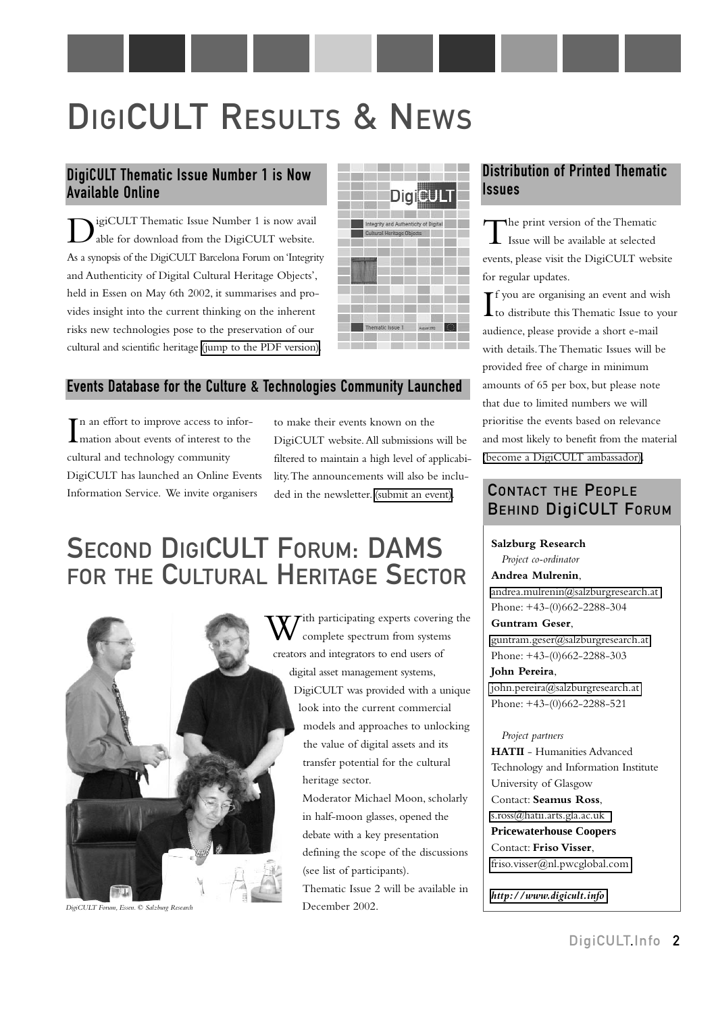## <span id="page-1-0"></span>DIGICULT RESULTS & NEWS

### DigiCULT Thematic Issue Number 1 is Now Available Online

igiCULT Thematic Issue Number 1 is now avail able for download from the DigiCULT website. As a synopsis of the DigiCULT Barcelona Forum on 'Integrity and Authenticity of Digital Cultural Heritage Objects', held in Essen on May 6th 2002, it summarises and provides insight into the current thinking on the inherent risks new technologies pose to the preservation of our cultural and scientific heritage [\(jump to the PDF version\)](http://www.digicult.info/pages/publications.html).



### Events Database for the Culture & Technologies Community Launched

 $\prod$ n an effort to improve access to information about events of interest to the  $\blacksquare$  n an effort to improve access to inforcultural and technology community DigiCULT has launched an Online Events Information Service. We invite organisers

to make their events known on the DigiCULT website.All submissions will be filtered to maintain a high level of applicability.The announcements will also be included in the newsletter. [\(submit an event\).](http://www.digicult.info/pages/addevent.php)

### SECOND DIGICULT FORUM: DAMS FOR THE CULTURAL HERITAGE SECTOR



*DigiCULT Forum, Essen. © Salzburg Research*

 $\tau$ ith participating experts covering the complete spectrum from systems creators and integrators to end users of digital asset management systems, DigiCULT was provided with a unique look into the current commercial models and approaches to unlocking the value of digital assets and its transfer potential for the cultural heritage sector.

Moderator Michael Moon, scholarly in half-moon glasses, opened the debate with a key presentation defining the scope of the discussions (see list of participants).

Thematic Issue 2 will be available in December 2002.

### Distribution of Printed Thematic Issues

The print version of the Thematic Issue will be available at selected events, please visit the DigiCULT website for regular updates.

If you are organising an event and wish<br>to distribute this Thematic Issue to your **T** f you are organising an event and wish audience, please provide a short e-mail with details.The Thematic Issues will be provided free of charge in minimum amounts of 65 per box, but please note that due to limited numbers we will prioritise the events based on relevance and most likely to benefit from the material [\(become a DigiCULT ambassador\)](mailto:john.pereira@salzburgresearch.at).

### CONTACT THE PEOPLE BEHIND DigiCULT FORUM

### **Salzburg Research**

*Project co-ordinator* **Andrea Mulrenin**, [andrea.mulrenin@salzburgresearch.at](mailto:andrea.mulrenin@salzburgresearch.at) Phone: +43-(0)662-2288-304 **Guntram Geser**, [guntram.geser@salzburgresearch.at](mailto:guntram.geser@salzburgresearch.at) Phone: +43-(0)662-2288-303 **John Pereira**, [john.pereira@salzburgresearch.at](mailto:john.pereira@salzburgresearch.at)

Phone: +43-(0)662-2288-521

#### *Project partners*

**HATII** - Humanities Advanced Technology and Information Institute University of Glasgow Contact: **Seamus Ross**, [s.ross@hatii.arts.gla.ac.uk](mailto:s.ross@hatii.arts.gla.ac.uk)

**Pricewaterhouse Coopers** Contact: **Friso Visser**,

[friso.visser@nl.pwcglobal.com](mailto:friso.visser@nl.pwcglobal.com)

*<http://www.digicult.info>*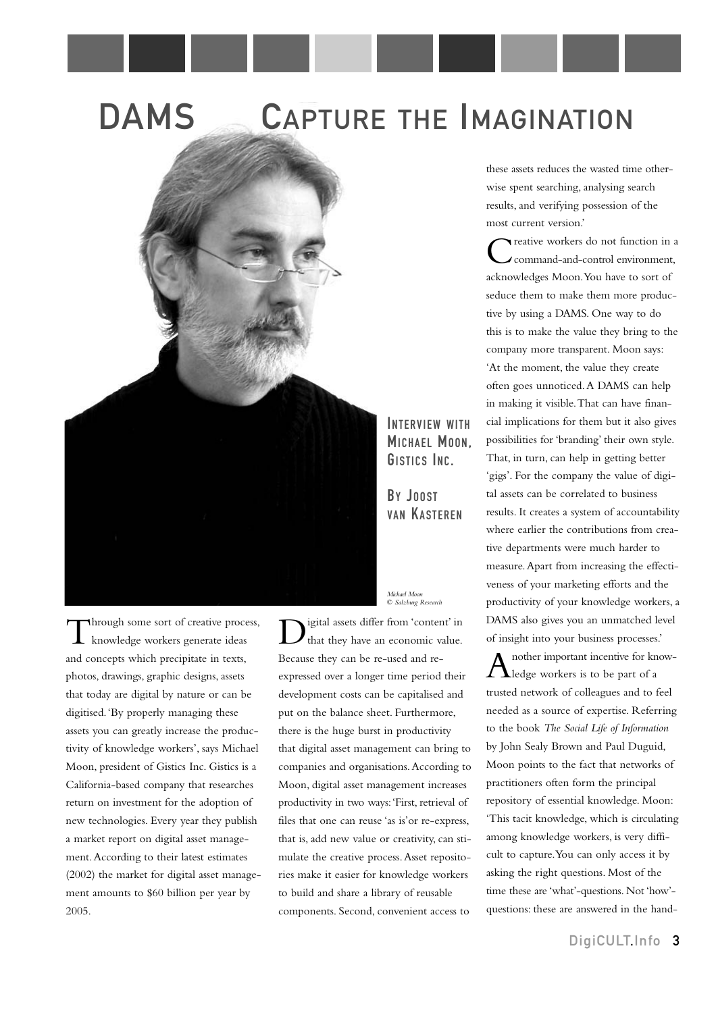## DAMS CAPTURE THE IMAGINATION



INTERVIEW WITH MICHAEL MOON, GISTICS INC.

BY JOOST VAN KASTEREN

*© Salzburg Research*

Through some sort of creative process, knowledge workers generate ideas and concepts which precipitate in texts, photos, drawings, graphic designs, assets that today are digital by nature or can be digitised.'By properly managing these assets you can greatly increase the productivity of knowledge workers', says Michael Moon, president of Gistics Inc. Gistics is a California-based company that researches return on investment for the adoption of new technologies. Every year they publish a market report on digital asset management.According to their latest estimates (2002) the market for digital asset management amounts to \$60 billion per year by 2005.

Digital assets differ from 'content' in that they have an economic value. Because they can be re-used and reexpressed over a longer time period their development costs can be capitalised and put on the balance sheet. Furthermore, there is the huge burst in productivity that digital asset management can bring to companies and organisations.According to Moon, digital asset management increases productivity in two ways:'First, retrieval of files that one can reuse 'as is'or re-express, that is, add new value or creativity, can stimulate the creative process.Asset repositories make it easier for knowledge workers to build and share a library of reusable components. Second, convenient access to

these assets reduces the wasted time otherwise spent searching, analysing search results, and verifying possession of the most current version.'

Creative workers do not function in a<br>
Command-and-control environment, acknowledges Moon.You have to sort of seduce them to make them more productive by using a DAMS. One way to do this is to make the value they bring to the company more transparent. Moon says: 'At the moment, the value they create often goes unnoticed.A DAMS can help in making it visible.That can have financial implications for them but it also gives possibilities for 'branding' their own style. That, in turn, can help in getting better 'gigs'. For the company the value of digital assets can be correlated to business results. It creates a system of accountability where earlier the contributions from creative departments were much harder to measure.Apart from increasing the effectiveness of your marketing efforts and the productivity of your knowledge workers, a DAMS also gives you an unmatched level of insight into your business processes.'

nother important incentive for know-Ledge workers is to be part of a trusted network of colleagues and to feel needed as a source of expertise. Referring to the book *The Social Life of Information* by John Sealy Brown and Paul Duguid, Moon points to the fact that networks of practitioners often form the principal repository of essential knowledge. Moon: 'This tacit knowledge, which is circulating among knowledge workers, is very difficult to capture.You can only access it by asking the right questions. Most of the time these are 'what'-questions. Not 'how' questions: these are answered in the hand-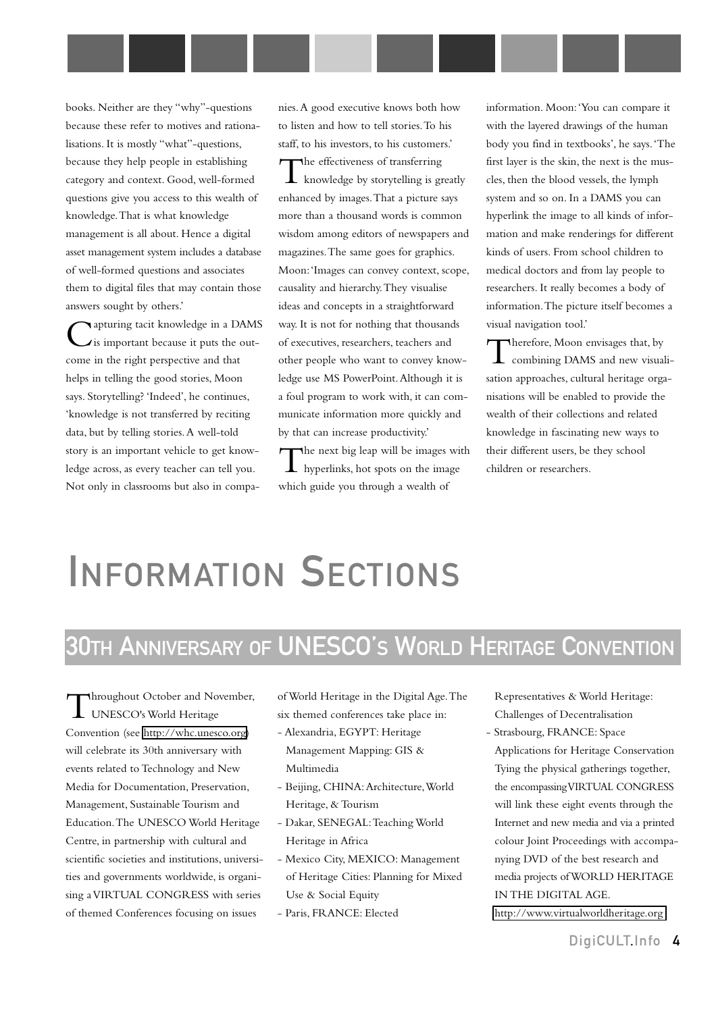<span id="page-3-0"></span>books. Neither are they "why"-questions because these refer to motives and rationalisations. It is mostly "what"-questions, because they help people in establishing category and context. Good, well-formed questions give you access to this wealth of knowledge.That is what knowledge management is all about. Hence a digital asset management system includes a database of well-formed questions and associates them to digital files that may contain those answers sought by others.'

Capturing tacit knowledge in a DAMS is important because it puts the outcome in the right perspective and that helps in telling the good stories, Moon says. Storytelling? 'Indeed', he continues, 'knowledge is not transferred by reciting data, but by telling stories.A well-told story is an important vehicle to get knowledge across, as every teacher can tell you. Not only in classrooms but also in compa-

nies.A good executive knows both how to listen and how to tell stories.To his staff, to his investors, to his customers.' The effectiveness of transferring<br>
knowledge by storytelling is greatly enhanced by images.That a picture says more than a thousand words is common wisdom among editors of newspapers and magazines.The same goes for graphics. Moon:'Images can convey context, scope, causality and hierarchy.They visualise ideas and concepts in a straightforward way. It is not for nothing that thousands of executives, researchers, teachers and other people who want to convey knowledge use MS PowerPoint.Although it is a foul program to work with, it can communicate information more quickly and by that can increase productivity.'

The next big leap will be images with **L** hyperlinks, hot spots on the image which guide you through a wealth of

information. Moon:'You can compare it with the layered drawings of the human body you find in textbooks', he says.'The first layer is the skin, the next is the muscles, then the blood vessels, the lymph system and so on. In a DAMS you can hyperlink the image to all kinds of information and make renderings for different kinds of users. From school children to medical doctors and from lay people to researchers. It really becomes a body of information.The picture itself becomes a visual navigation tool.'

Therefore, Moon envisages that, by<br>
combining DAMS and new visualisation approaches, cultural heritage organisations will be enabled to provide the wealth of their collections and related knowledge in fascinating new ways to their different users, be they school children or researchers.

# INFORMATION SECTIONS

### 30TH ANNIVERSARY OF UNESCO'S WORLD HERITAGE CONVENTION

**Throughout October and November,** UNESCO's World Heritage Convention (see [http://whc.unesco.org\)](http://whc.unesco.org) will celebrate its 30th anniversary with events related to Technology and New Media for Documentation, Preservation, Management, Sustainable Tourism and Education.The UNESCO World Heritage Centre, in partnership with cultural and scientific societies and institutions, universities and governments worldwide, is organising a VIRTUAL CONGRESS with series of themed Conferences focusing on issues

of World Heritage in the Digital Age.The six themed conferences take place in:

- Alexandria, EGYPT: Heritage Management Mapping: GIS & Multimedia
- Beijing, CHINA:Architecture,World Heritage, & Tourism
- Dakar, SENEGAL:Teaching World Heritage in Africa
- Mexico City, MEXICO: Management of Heritage Cities: Planning for Mixed Use & Social Equity
- Paris, FRANCE: Elected

Representatives & World Heritage: Challenges of Decentralisation

- Strasbourg, FRANCE: Space Applications for Heritage Conservation Tying the physical gatherings together, the encompassing VIRTUAL CONGRESS will link these eight events through the Internet and new media and via a printed colour Joint Proceedings with accompanying DVD of the best research and media projects of WORLD HERITAGE IN THE DIGITAL AGE.

<http://www.virtualworldheritage.org>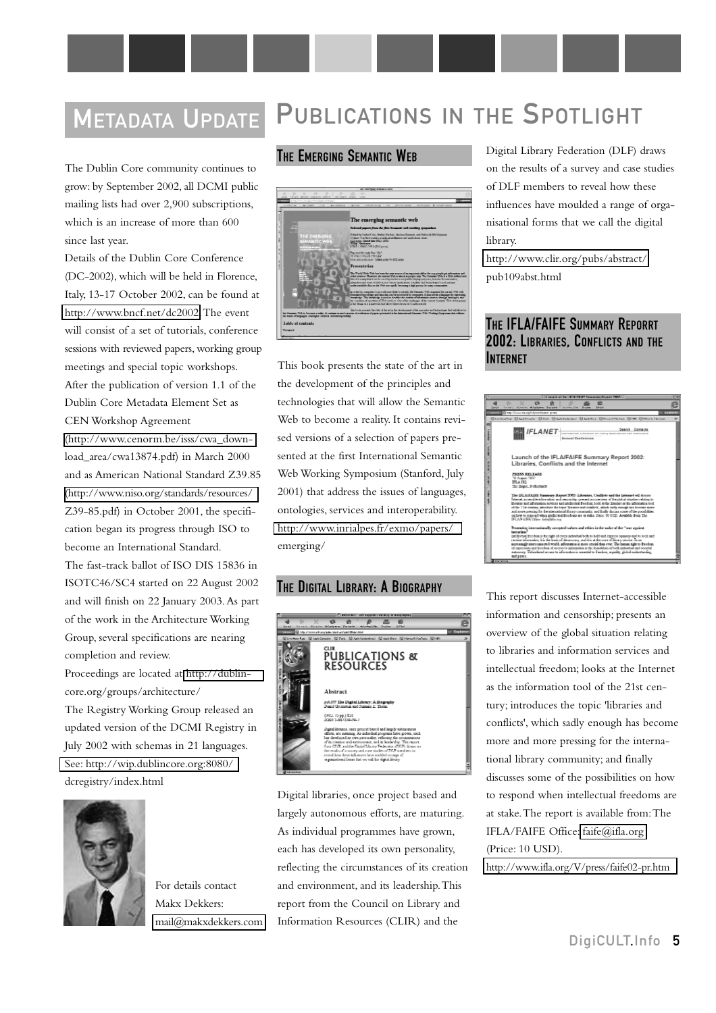### METADATA UPDATE PUBLICATIONS IN THE SPOTLIGHT

The Dublin Core community continues to grow: by September 2002, all DCMI public mailing lists had over 2,900 subscriptions, which is an increase of more than 600 since last year.

Details of the Dublin Core Conference (DC-2002), which will be held in Florence, Italy, 13-17 October 2002, can be found at [http://www.bncf.net/dc2002.](http://www.bncf.net/dc2002)The event will consist of a set of tutorials, conference sessions with reviewed papers, working group meetings and special topic workshops. After the publication of version 1.1 of the Dublin Core Metadata Element Set as CEN Workshop Agreement

[\(http://www.cenorm.be/isss/cwa\\_down](http://www.cenorm.be/iss/cwa_download_area/cwa13874.pdf)load\_area/cwa13874.pdf) in March 2000 and as American National Standard Z39.85 [\(http://www.niso.org/standards/resources/](http://www.niso.org/standards/resources/Z39-85.pdf) Z39-85.pdf) in October 2001, the specification began its progress through ISO to become an International Standard.

The fast-track ballot of ISO DIS 15836 in ISOTC46/SC4 started on 22 August 2002 and will finish on 22 January 2003.As part of the work in the Architecture Working Group, several specifications are nearing completion and review.

Proceedings are located at [http://dublin](http://dublincore.org/groups/architecture)core.org/groups/architecture/ The Registry Working Group released an updated version of the DCMI Registry in

July 2002 with schemas in 21 languages. [See: http://wip.dublincore.org:8080/](http://wip.dublincore.org:8080/dcregistry/index.html) dcregistry/index.html



For details contact Makx Dekkers: [mail@makxdekkers.com](mailto:mail@makxdekkers.com)

### THE EMERGING SEMANTIC WEB



This book presents the state of the art in the development of the principles and technologies that will allow the Semantic Web to become a reality. It contains revised versions of a selection of papers presented at the first International Semantic Web Working Symposium (Stanford, July 2001) that address the issues of languages, ontologies, services and interoperability. [http://www.inrialpes.fr/exmo/papers/](http://www.inrialpes.fr/exmo/papers/emerging) emerging/

### THE DIGITAL LIBRARY: A BIOGRAPHY



Digital libraries, once project based and largely autonomous efforts, are maturing. As individual programmes have grown, each has developed its own personality, reflecting the circumstances of its creation and environment, and its leadership.This report from the Council on Library and Information Resources (CLIR) and the

Digital Library Federation (DLF) draws on the results of a survey and case studies of DLF members to reveal how these influences have moulded a range of organisational forms that we call the digital library.

[http://www.clir.org/pubs/abstract/](http://www.clir.org/pubs/abstract/pub109abst.html) pub109abst.html

### THE **IFLA/FAIFE** SUMMARY REPORRT 2002: LIBRARIES, CONFLICTS AND THE **INTERNET**

| IT Commission Record 2882                                                                                                                                                                                                                                                                                                                                                                                                                                                                                                                                                                                                                                           |                                                                                                                                                                                                                                                                                                                                                                                                                                                                                                                                                                                                                                                                |  |  |  |  |  |  |
|---------------------------------------------------------------------------------------------------------------------------------------------------------------------------------------------------------------------------------------------------------------------------------------------------------------------------------------------------------------------------------------------------------------------------------------------------------------------------------------------------------------------------------------------------------------------------------------------------------------------------------------------------------------------|----------------------------------------------------------------------------------------------------------------------------------------------------------------------------------------------------------------------------------------------------------------------------------------------------------------------------------------------------------------------------------------------------------------------------------------------------------------------------------------------------------------------------------------------------------------------------------------------------------------------------------------------------------------|--|--|--|--|--|--|
|                                                                                                                                                                                                                                                                                                                                                                                                                                                                                                                                                                                                                                                                     |                                                                                                                                                                                                                                                                                                                                                                                                                                                                                                                                                                                                                                                                |  |  |  |  |  |  |
| <b>Darley</b>                                                                                                                                                                                                                                                                                                                                                                                                                                                                                                                                                                                                                                                       | is distance distantaneous Machette<br>interior life: Product<br><b>Ballant</b><br>(1) say (Food mains/s/pornisass) press<br>10020500                                                                                                                                                                                                                                                                                                                                                                                                                                                                                                                           |  |  |  |  |  |  |
| Gilbertow Fox: Gilbert County: Gilbert Gilbert Colonians   Gilbert Town Gilbertown   Gilbert Gilbertown Handeds                                                                                                                                                                                                                                                                                                                                                                                                                                                                                                                                                     |                                                                                                                                                                                                                                                                                                                                                                                                                                                                                                                                                                                                                                                                |  |  |  |  |  |  |
|                                                                                                                                                                                                                                                                                                                                                                                                                                                                                                                                                                                                                                                                     |                                                                                                                                                                                                                                                                                                                                                                                                                                                                                                                                                                                                                                                                |  |  |  |  |  |  |
|                                                                                                                                                                                                                                                                                                                                                                                                                                                                                                                                                                                                                                                                     | <b>IFLANET</b><br><b>Annual Conference</b>                                                                                                                                                                                                                                                                                                                                                                                                                                                                                                                                                                                                                     |  |  |  |  |  |  |
| Launch of the IFLA/FAIFE Summary Report 2002:<br>Libraries, Conflicts and the Internet                                                                                                                                                                                                                                                                                                                                                                                                                                                                                                                                                                              |                                                                                                                                                                                                                                                                                                                                                                                                                                                                                                                                                                                                                                                                |  |  |  |  |  |  |
|                                                                                                                                                                                                                                                                                                                                                                                                                                                                                                                                                                                                                                                                     | <b>PRESS HELFASE</b><br>10 August 1997<br><b>IELA DO</b><br>The Hagoe, Netherlands                                                                                                                                                                                                                                                                                                                                                                                                                                                                                                                                                                             |  |  |  |  |  |  |
| The IFLA/EAINE Summary Huport 2002; Libraries, Conflicts and the Internet will docum-<br>internet accessible information and concording present an operators of the global situation relating to<br>libration and information services and intellectual theodoge look at the Internet as the information tool.<br>of the 21st contact, adopting the topic Warangs and conflicts', which sadip copyrighter become more<br>and more precise for the international library community, and finally discuss come of the possibilities:<br>on have to respond when intellectual freedoms are at stake. There 10 USD, Available from The<br>IFLAFAIFE Chine foundation and |                                                                                                                                                                                                                                                                                                                                                                                                                                                                                                                                                                                                                                                                |  |  |  |  |  |  |
| <b>ENVIRONMENT</b>                                                                                                                                                                                                                                                                                                                                                                                                                                                                                                                                                                                                                                                  | Presenting internationally corrested values and ethics in the wake of the "war against<br>tempelase"<br>intellectual freedom in the right of every individual both to hold and express company and to neck and<br>receive information, it is the basis of demonstrary, and it is at the core of these processes. In an<br>increasingly intercompacted world, information is more crucial than ever. The human right to theedom-<br>of capacrosas and freedom of access in information is the foundation of both instruction and societal<br>autonomy. Unlikelered access to information is expected to freedom, equality, slokal malesstraction-<br>and pence. |  |  |  |  |  |  |

This report discusses Internet-accessible information and censorship; presents an overview of the global situation relating to libraries and information services and intellectual freedom; looks at the Internet as the information tool of the 21st century; introduces the topic 'libraries and conflicts', which sadly enough has become more and more pressing for the international library community; and finally discusses some of the possibilities on how to respond when intellectual freedoms are at stake.The report is available from:The IFLA/FAIFE Office[: faife@ifla.org](mailto:faife@ifla.org)  (Price: 10 USD).

[http://www.ifla.org/V/press/faife02-pr.htm](http://www.ifla.org/V/press/faife02-pr.html)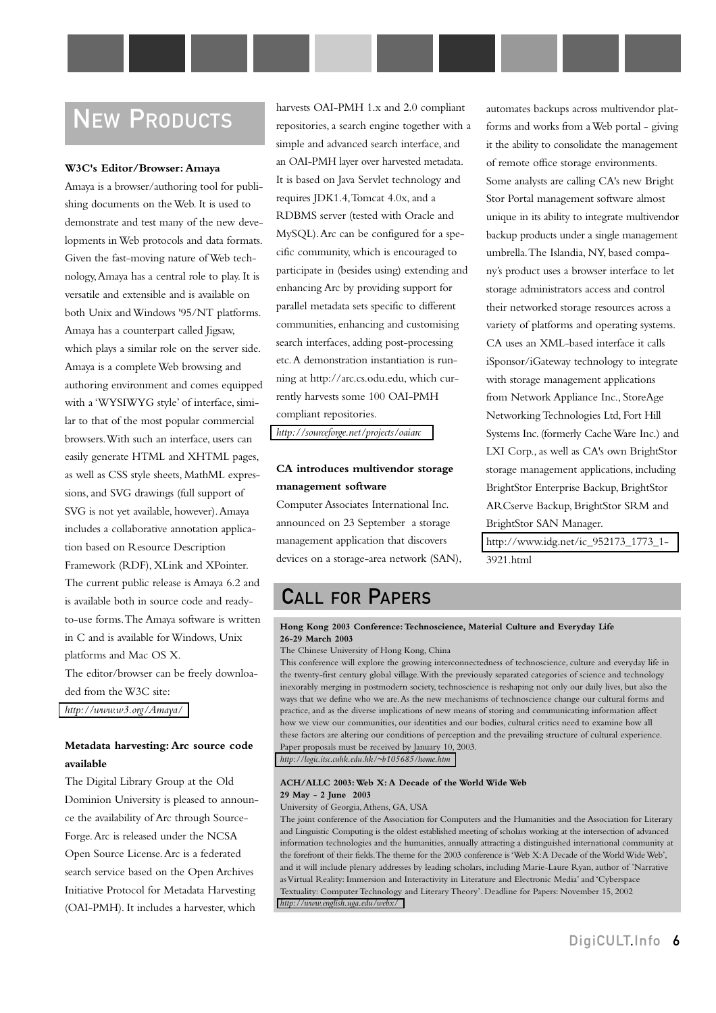#### **W3C's Editor/Browser:Amaya**

Amaya is a browser/authoring tool for publishing documents on the Web. It is used to demonstrate and test many of the new developments in Web protocols and data formats. Given the fast-moving nature of Web technology,Amaya has a central role to play. It is versatile and extensible and is available on both Unix and Windows '95/NT platforms. Amaya has a counterpart called Jigsaw, which plays a similar role on the server side. Amaya is a complete Web browsing and authoring environment and comes equipped with a 'WYSIWYG style' of interface, similar to that of the most popular commercial browsers.With such an interface, users can easily generate HTML and XHTML pages, as well as CSS style sheets, MathML expressions, and SVG drawings (full support of SVG is not yet available, however).Amaya includes a collaborative annotation application based on Resource Description Framework (RDF), XLink and XPointer. The current public release is Amaya 6.2 and is available both in source code and readyto-use forms.The Amaya software is written in C and is available for Windows, Unix platforms and Mac OS X. The editor/browser can be freely downloaded from the W3C site: *[http://www.w3.org/Amaya/](http://www.w3.org/Amaya)*

### **Metadata harvesting:Arc source code available**

The Digital Library Group at the Old Dominion University is pleased to announce the availability of Arc through Source-Forge.Arc is released under the NCSA Open Source License.Arc is a federated search service based on the Open Archives Initiative Protocol for Metadata Harvesting (OAI-PMH). It includes a harvester, which

NEW PRODUCTS harvests OAI-PMH 1.x and 2.0 compliant repositories, a search engine together with a simple and advanced search interface, and an OAI-PMH layer over harvested metadata. It is based on Java Servlet technology and requires JDK1.4,Tomcat 4.0x, and a RDBMS server (tested with Oracle and MySQL).Arc can be configured for a specific community, which is encouraged to participate in (besides using) extending and enhancing Arc by providing support for parallel metadata sets specific to different communities, enhancing and customising search interfaces, adding post-processing etc.A demonstration instantiation is running at http://arc.cs.odu.edu, which currently harvests some 100 OAI-PMH compliant repositories.

*<http://sourceforge.net/projects/oaiarc>*

### **CA introduces multivendor storage management software**

Computer Associates International Inc. announced on 23 September a storage management application that discovers devices on a storage-area network (SAN), automates backups across multivendor platforms and works from a Web portal - giving it the ability to consolidate the management of remote office storage environments. Some analysts are calling CA's new Bright Stor Portal management software almost unique in its ability to integrate multivendor backup products under a single management umbrella.The Islandia, NY, based company's product uses a browser interface to let storage administrators access and control their networked storage resources across a variety of platforms and operating systems. CA uses an XML-based interface it calls iSponsor/iGateway technology to integrate with storage management applications from Network Appliance Inc., StoreAge Networking Technologies Ltd, Fort Hill Systems Inc. (formerly Cache Ware Inc.) and LXI Corp., as well as CA's own BrightStor storage management applications, including BrightStor Enterprise Backup, BrightStor ARCserve Backup, BrightStor SRM and BrightStor SAN Manager. [http://www.idg.net/ic\\_952173\\_1773\\_1-](http://www.idg.net/ic_952173_1773_13921.html) 3921.html

### CALL FOR PAPERS

### **Hong Kong 2003 Conference:Technoscience, Material Culture and Everyday Life 26-29 March 2003**

### The Chinese University of Hong Kong, China

This conference will explore the growing interconnectedness of technoscience, culture and everyday life in the twenty-first century global village.With the previously separated categories of science and technology inexorably merging in postmodern society, technoscience is reshaping not only our daily lives, but also the ways that we define who we are.As the new mechanisms of technoscience change our cultural forms and practice, and as the diverse implications of new means of storing and communicating information affect how we view our communities, our identities and our bodies, cultural critics need to examine how all these factors are altering our conditions of perception and the prevailing structure of cultural experience. Paper proposals must be received by January 10, 2003.

*[http://logic.itsc.cuhk.edu.hk/~b105685/home.htm](http://logic.itsc.cuhk.edu.hk/~b105685/2003con.htm)*

### **ACH/ALLC 2003:Web X: A Decade of the World Wide Web 29 May - 2 June 2003**

#### University of Georgia,Athens, GA, USA

The joint conference of the Association for Computers and the Humanities and the Association for Literary and Linguistic Computing is the oldest established meeting of scholars working at the intersection of advanced information technologies and the humanities, annually attracting a distinguished international community at the forefront of their fields.The theme for the 2003 conference is 'Web X:A Decade of the World Wide Web', and it will include plenary addresses by leading scholars, including Marie-Laure Ryan, author of 'Narrative as Virtual Reality: Immersion and Interactivity in Literature and Electronic Media' and 'Cyberspace Textuality: Computer Technology and Literary Theory'. Deadline for Papers: November 15, 2002 *[http://www.english.uga.edu/webx/](http://www.english.uga.edu/webx)*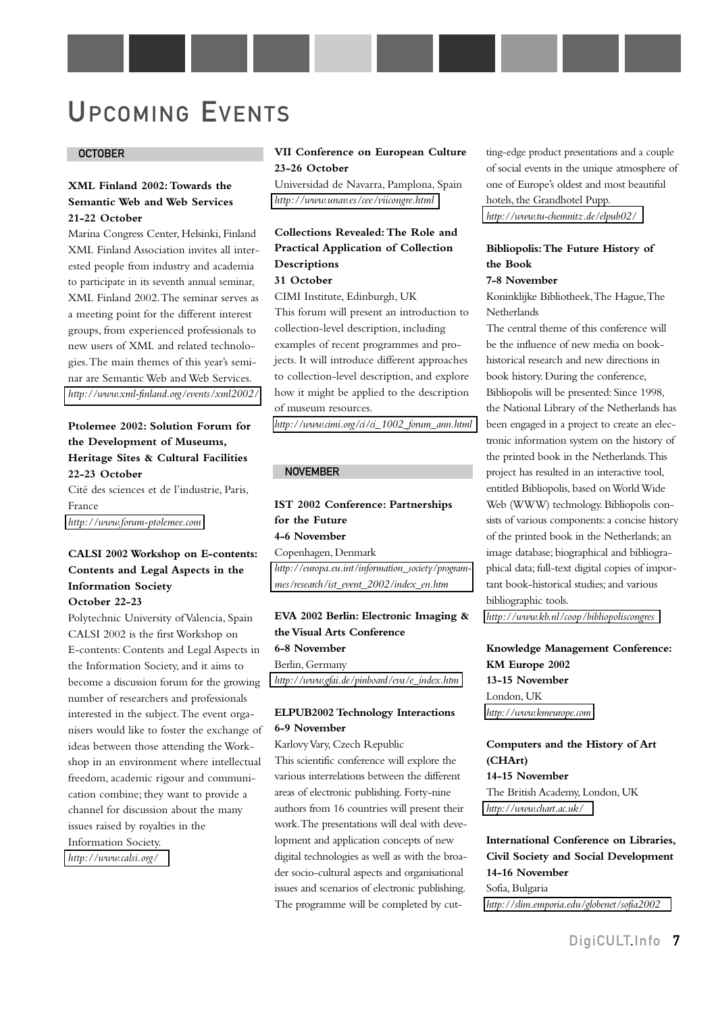### UPCOMING EVENTS

### **OCTOBER**

### **XML Finland 2002:Towards the Semantic Web and Web Services 21-22 October**

Marina Congress Center, Helsinki, Finland XML Finland Association invites all interested people from industry and academia to participate in its seventh annual seminar, XML Finland 2002.The seminar serves as a meeting point for the different interest groups, from experienced professionals to new users of XML and related technologies.The main themes of this year's seminar are Semantic Web and Web Services. *[http://www.xml-finland.org/events/xml2002/](http://www.xml-finland.org/events/xml2002)*

### **Ptolemee 2002: Solution Forum for the Development of Museums, Heritage Sites & Cultural Facilities 22-23 October**

Cité des sciences et de l'industrie, Paris, France *<http://www.forum-ptolemee.com>*

### **CALSI 2002 Workshop on E-contents: Contents and Legal Aspects in the Information Society October 22-23**

Polytechnic University of Valencia, Spain CALSI 2002 is the first Workshop on E-contents: Contents and Legal Aspects in the Information Society, and it aims to become a discussion forum for the growing number of researchers and professionals interested in the subject.The event organisers would like to foster the exchange of ideas between those attending the Workshop in an environment where intellectual freedom, academic rigour and communication combine; they want to provide a channel for discussion about the many issues raised by royalties in the Information Society. *[http://www.calsi.org/](http://www.calsi.org)*

### **VII Conference on European Culture 23-26 October**

Universidad de Navarra, Pamplona, Spain *[http://www.unav.es/cee/viicongre.html](http://www.unave.es/cee/viicongre.html)*

### **Collections Revealed:The Role and Practical Application of Collection Descriptions**

### **31 October**

CIMI Institute, Edinburgh, UK This forum will present an introduction to collection-level description, including examples of recent programmes and projects. It will introduce different approaches to collection-level description, and explore how it might be applied to the description of museum resources.

*[http://www.cimi.org/ci/ci\\_1002\\_forum\\_ann.html](http://www.cimi.org/ci/ci_1002_fourm_ann.html)*

#### NOVEMBER

**IST 2002 Conference: Partnerships for the Future 4-6 November**  Copenhagen, Denmark *[http://europa.eu.int/information\\_society/program](http://europa.eu.int/information_society/programmes/research/ist_event_2002/index_en.html)mes/research/ist\_event\_2002/index\_en.htm*

### **EVA 2002 Berlin: Electronic Imaging & the Visual Arts Conference 6-8 November**  Berlin, Germany *[http://www.gfai.de/pinboard/eva/e\\_index.htm](http://www.gfai.de/pinboard/eva/e_index.html)*

### **ELPUB2002 Technology Interactions 6-9 November**

Karlovy Vary, Czech Republic This scientific conference will explore the various interrelations between the different areas of electronic publishing. Forty-nine authors from 16 countries will present their work.The presentations will deal with development and application concepts of new digital technologies as well as with the broader socio-cultural aspects and organisational issues and scenarios of electronic publishing. The programme will be completed by cutting-edge product presentations and a couple of social events in the unique atmosphere of one of Europe's oldest and most beautiful hotels, the Grandhotel Pupp. *[http://www.tu-chemnitz.de/elpub02/](http://www.tu-chemnitz.de/elpub02)*

### **Bibliopolis:The Future History of the Book**

#### **7-8 November**

Koninklijke Bibliotheek,The Hague,The **Netherlands** 

The central theme of this conference will be the influence of new media on bookhistorical research and new directions in book history. During the conference, Bibliopolis will be presented: Since 1998, the National Library of the Netherlands has been engaged in a project to create an electronic information system on the history of the printed book in the Netherlands.This project has resulted in an interactive tool, entitled Bibliopolis, based on World Wide Web (WWW) technology. Bibliopolis consists of various components: a concise history of the printed book in the Netherlands; an image database; biographical and bibliographical data; full-text digital copies of important book-historical studies; and various bibliographic tools.

*<http://www.kb.nl/coop/bibliopoliscongres>*

**Knowledge Management Conference: KM Europe 2002 13-15 November**  London, UK *<http://www.kmeurope.com>*

### **Computers and the History of Art (CHArt)**

**14-15 November**  The British Academy, London, UK *[http://www.chart.ac.uk/](http://www.chart.ac.uk)*

**International Conference on Libraries, Civil Society and Social Development 14-16 November**  Sofia, Bulgaria *[http://slim.emporia.edu/globenet/sofia2002](http://www.slim.emporia.edu/globenet/sofia2002/sofia2002.html)*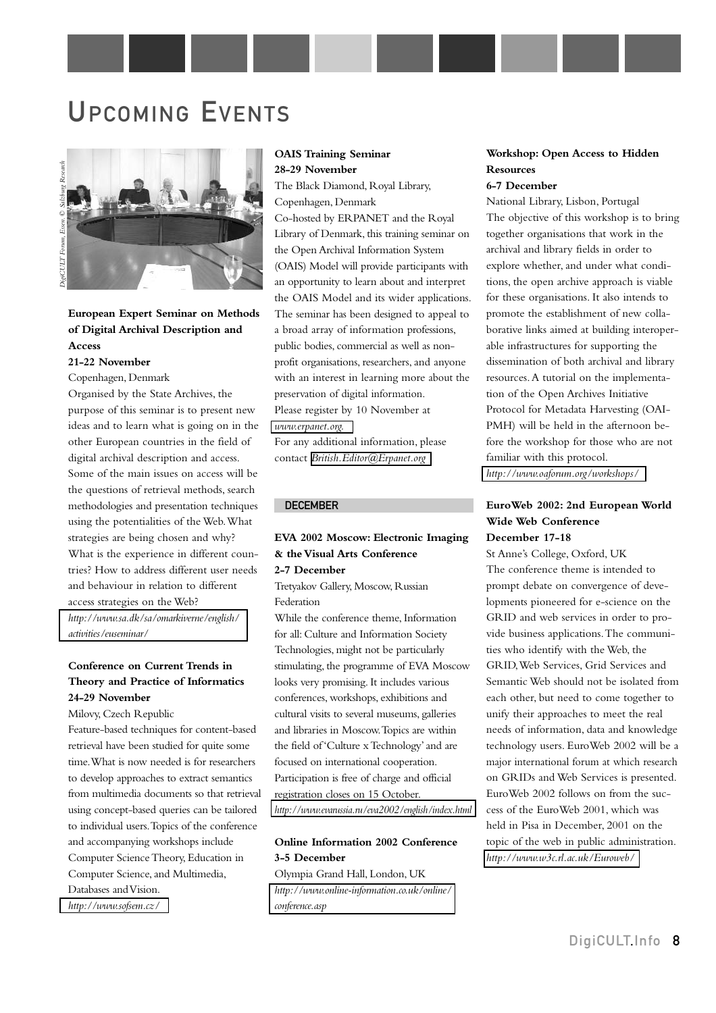### UPCOMING EVENTS



### **European Expert Seminar on Methods of Digital Archival Description and Access**

### **21-22 November**

Copenhagen, Denmark

Organised by the State Archives, the purpose of this seminar is to present new ideas and to learn what is going on in the other European countries in the field of digital archival description and access. Some of the main issues on access will be the questions of retrieval methods, search methodologies and presentation techniques using the potentialities of the Web.What strategies are being chosen and why? What is the experience in different countries? How to address different user needs and behaviour in relation to different access strategies on the Web? *[http://www.sa.dk/sa/omarkiverne/english/](http://www.sa.dk/sa/omarkiverne/english/activities/euseminar) activities/euseminar/*

### **Conference on Current Trends in Theory and Practice of Informatics 24-29 November**

Milovy, Czech Republic

Feature-based techniques for content-based retrieval have been studied for quite some time.What is now needed is for researchers to develop approaches to extract semantics from multimedia documents so that retrieval using concept-based queries can be tailored to individual users.Topics of the conference and accompanying workshops include Computer Science Theory, Education in Computer Science, and Multimedia, Databases and Vision. *[http://www.sofsem.cz/](http://www.sofsem.cz)*

### **OAIS Training Seminar 28-29 November**

The Black Diamond, Royal Library, Copenhagen, Denmark

Co-hosted by ERPANET and the Royal Library of Denmark, this training seminar on the Open Archival Information System (OAIS) Model will provide participants with an opportunity to learn about and interpret the OAIS Model and its wider applications. The seminar has been designed to appeal to a broad array of information professions, public bodies, commercial as well as nonprofit organisations, researchers, and anyone with an interest in learning more about the preservation of digital information. Please register by 10 November at *[www.erpanet.org.](http://www.erpanet.org)*

For any additional information, please contact *[British.Editor@Erpanet.org](mailto:British.Editor@Erpanet.org)*

### DECEMBER

### **EVA 2002 Moscow: Electronic Imaging & the Visual Arts Conference 2-7 December**

Tretyakov Gallery, Moscow, Russian Federation

While the conference theme, Information for all: Culture and Information Society Technologies, might not be particularly stimulating, the programme of EVA Moscow looks very promising. It includes various conferences, workshops, exhibitions and cultural visits to several museums, galleries and libraries in Moscow.Topics are within the field of 'Culture x Technology' and are focused on international cooperation. Participation is free of charge and official registration closes on 15 October. *<http://www.evarussia.ru/eva2002/english/index.html>*

### **Online Information 2002 Conference 3-5 December**

Olympia Grand Hall, London, UK *[http://www.online-information.co.uk/online/](http://www.onlin-information.co.uk/online/conference.asp) conference.asp*

### **Workshop: Open Access to Hidden Resources**

### **6-7 December**

National Library, Lisbon, Portugal The objective of this workshop is to bring together organisations that work in the archival and library fields in order to explore whether, and under what conditions, the open archive approach is viable for these organisations. It also intends to promote the establishment of new collaborative links aimed at building interoperable infrastructures for supporting the dissemination of both archival and library resources.A tutorial on the implementation of the Open Archives Initiative Protocol for Metadata Harvesting (OAI-PMH) will be held in the afternoon before the workshop for those who are not familiar with this protocol. *[http://www.oaforum.org/workshops/](http://www.oaforum.org/workshops)*

### **EuroWeb 2002: 2nd European World Wide Web Conference December 17-18**

St Anne's College, Oxford, UK The conference theme is intended to prompt debate on convergence of developments pioneered for e-science on the GRID and web services in order to provide business applications.The communities who identify with the Web, the GRID,Web Services, Grid Services and Semantic Web should not be isolated from each other, but need to come together to unify their approaches to meet the real needs of information, data and knowledge technology users. EuroWeb 2002 will be a major international forum at which research on GRIDs and Web Services is presented. EuroWeb 2002 follows on from the success of the EuroWeb 2001, which was held in Pisa in December, 2001 on the topic of the web in public administration. *[http://www.w3c.rl.ac.uk/Euroweb/](http://www.w3c.rl.ac.uk/Euroweb)*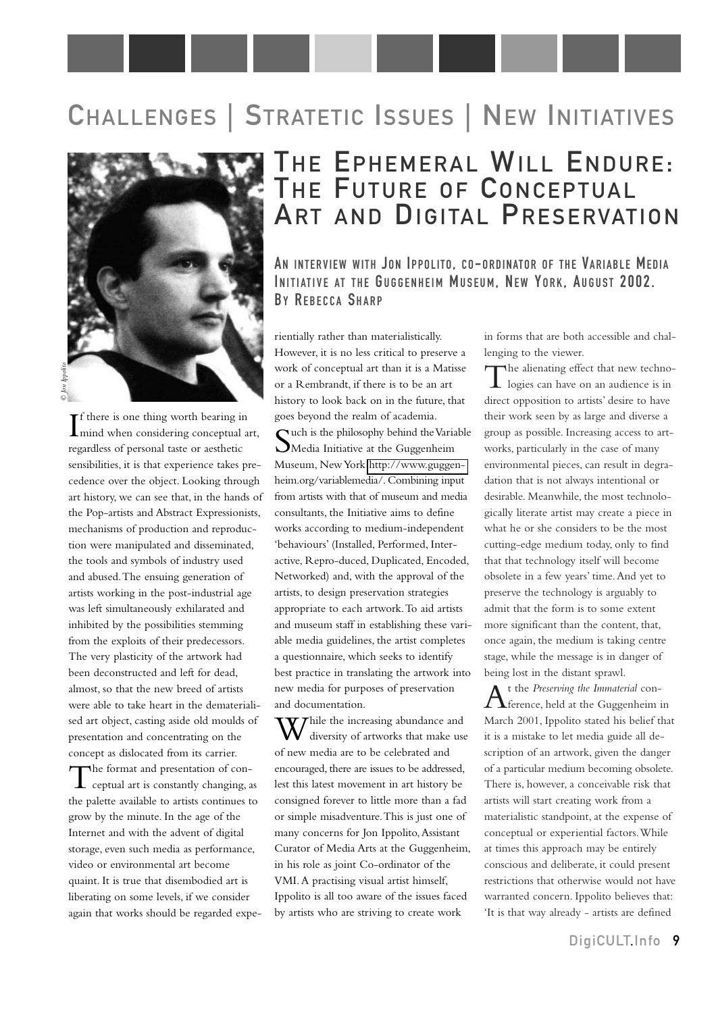## <span id="page-8-0"></span>CHALLENGES | STRATETIC ISSUES | NEW INITIATIVES



If there is one thing worth bearing in<br>
I mind when considering conceptual art,  $\mathbf{T}$  f there is one thing worth bearing in regardless of personal taste or aesthetic sensibilities, it is that experience takes precedence over the object. Looking through art history, we can see that, in the hands of the Pop-artists and Abstract Expressionists, mechanisms of production and reproduction were manipulated and disseminated, the tools and symbols of industry used and abused.The ensuing generation of artists working in the post-industrial age was left simultaneously exhilarated and inhibited by the possibilities stemming from the exploits of their predecessors. The very plasticity of the artwork had been deconstructed and left for dead, almost, so that the new breed of artists were able to take heart in the dematerialised art object, casting aside old moulds of presentation and concentrating on the concept as dislocated from its carrier. The format and presentation of con-ceptual art is constantly changing, as the palette available to artists continues to grow by the minute. In the age of the Internet and with the advent of digital storage, even such media as performance, video or environmental art become quaint. It is true that disembodied art is liberating on some levels, if we consider again that works should be regarded expe-

### THE EPHEMERAL WILL ENDURE: THE FUTURE OF CONCEPTUAL ART AND DIGITAL PRESERVATION

### AN INTERVIEW WITH JON IPPOLITO, CO-ORDINATOR OF THE VARIABLE MEDIA INITIATIVE AT THE GUGGENHEIM MUSEUM. NEW YORK, AUGUST 2002. BY REBECCA SHARP

rientially rather than materialistically. However, it is no less critical to preserve a work of conceptual art than it is a Matisse or a Rembrandt, if there is to be an art history to look back on in the future, that goes beyond the realm of academia.  $\bigcap$  uch is the philosophy behind the Variable Media Initiative at the Guggenheim Museum, New York [http://www.guggen](http://www.guggenheim.org/variablemedia/)heim.org/variablemedia/. Combining input from artists with that of museum and media consultants, the Initiative aims to define works according to medium-independent 'behaviours' (Installed, Performed, Interactive, Repro-duced, Duplicated, Encoded, Networked) and, with the approval of the artists, to design preservation strategies appropriate to each artwork.To aid artists and museum staff in establishing these variable media guidelines, the artist completes a questionnaire, which seeks to identify best practice in translating the artwork into new media for purposes of preservation and documentation.

 $\mathbf{W}$ <sup>hile the increasing abundance and</sup> diversity of artworks that make use of new media are to be celebrated and encouraged, there are issues to be addressed, lest this latest movement in art history be consigned forever to little more than a fad or simple misadventure.This is just one of many concerns for Jon Ippolito,Assistant Curator of Media Arts at the Guggenheim, in his role as joint Co-ordinator of the VMI.A practising visual artist himself, Ippolito is all too aware of the issues faced by artists who are striving to create work

in forms that are both accessible and challenging to the viewer.

The alienating effect that new techno-logies can have on an audience is in direct opposition to artists' desire to have their work seen by as large and diverse a group as possible. Increasing access to artworks, particularly in the case of many environmental pieces, can result in degradation that is not always intentional or desirable. Meanwhile, the most technologically literate artist may create a piece in what he or she considers to be the most cutting-edge medium today, only to find that that technology itself will become obsolete in a few years' time.And yet to preserve the technology is arguably to admit that the form is to some extent more significant than the content, that, once again, the medium is taking centre stage, while the message is in danger of being lost in the distant sprawl.

At the *Preserving the Immaterial* con-ference, held at the Guggenheim in March 2001, Ippolito stated his belief that it is a mistake to let media guide all description of an artwork, given the danger of a particular medium becoming obsolete. There is, however, a conceivable risk that artists will start creating work from a materialistic standpoint, at the expense of conceptual or experiential factors.While at times this approach may be entirely conscious and deliberate, it could present restrictions that otherwise would not have warranted concern. Ippolito believes that: 'It is that way already - artists are defined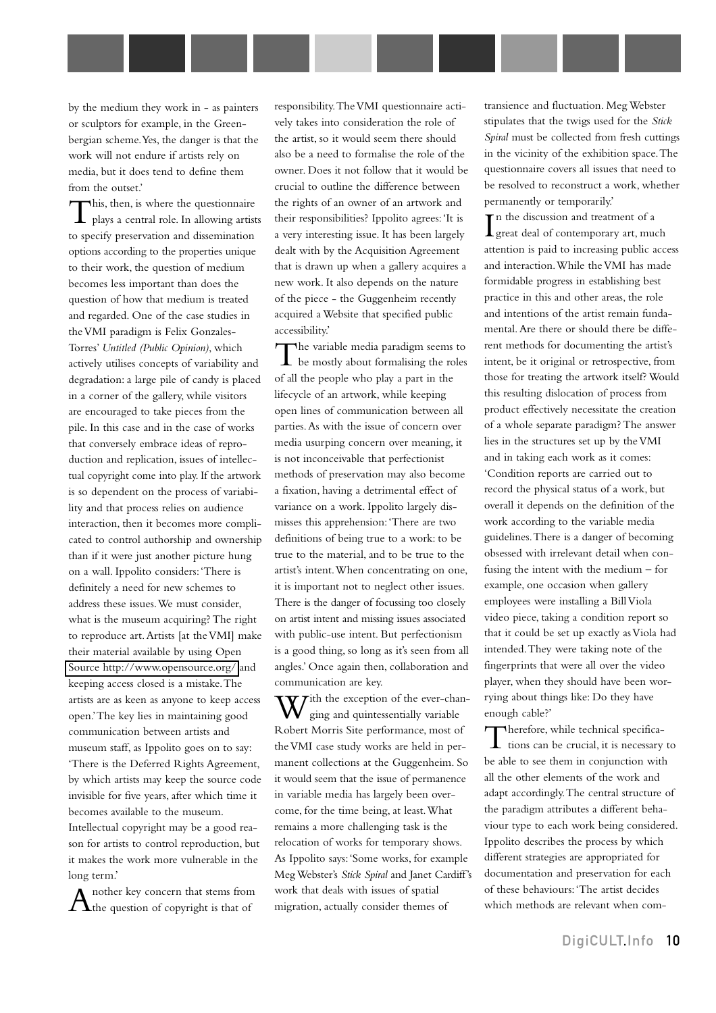by the medium they work in - as painters or sculptors for example, in the Greenbergian scheme.Yes, the danger is that the work will not endure if artists rely on media, but it does tend to define them from the outset'

This, then, is where the questionnaire plays a central role. In allowing artists to specify preservation and dissemination options according to the properties unique to their work, the question of medium becomes less important than does the question of how that medium is treated and regarded. One of the case studies in the VMI paradigm is Felix Gonzales-Torres' *Untitled (Public Opinion)*, which actively utilises concepts of variability and degradation: a large pile of candy is placed in a corner of the gallery, while visitors are encouraged to take pieces from the pile. In this case and in the case of works that conversely embrace ideas of reproduction and replication, issues of intellectual copyright come into play. If the artwork is so dependent on the process of variability and that process relies on audience interaction, then it becomes more complicated to control authorship and ownership than if it were just another picture hung on a wall. Ippolito considers:'There is definitely a need for new schemes to address these issues.We must consider, what is the museum acquiring? The right to reproduce art.Artists [at the VMI] make their material available by using Open [Source http://www.opensource.org/](http://www.opensource.org) and keeping access closed is a mistake.The artists are as keen as anyone to keep access open.'The key lies in maintaining good communication between artists and museum staff, as Ippolito goes on to say: 'There is the Deferred Rights Agreement, by which artists may keep the source code invisible for five years, after which time it becomes available to the museum. Intellectual copyright may be a good reason for artists to control reproduction, but it makes the work more vulnerable in the long term.'

 $A_{\text{the question of copyright is that of}}$ 

responsibility.The VMI questionnaire actively takes into consideration the role of the artist, so it would seem there should also be a need to formalise the role of the owner. Does it not follow that it would be crucial to outline the difference between the rights of an owner of an artwork and their responsibilities? Ippolito agrees:'It is a very interesting issue. It has been largely dealt with by the Acquisition Agreement that is drawn up when a gallery acquires a new work. It also depends on the nature of the piece - the Guggenheim recently acquired a Website that specified public accessibility.'

The variable media paradigm seems to be mostly about formalising the roles of all the people who play a part in the lifecycle of an artwork, while keeping open lines of communication between all parties.As with the issue of concern over media usurping concern over meaning, it is not inconceivable that perfectionist methods of preservation may also become a fixation, having a detrimental effect of variance on a work. Ippolito largely dismisses this apprehension:'There are two definitions of being true to a work: to be true to the material, and to be true to the artist's intent.When concentrating on one, it is important not to neglect other issues. There is the danger of focussing too closely on artist intent and missing issues associated with public-use intent. But perfectionism is a good thing, so long as it's seen from all angles.' Once again then, collaboration and communication are key.

 $\boldsymbol{\nabla} \boldsymbol{\mathcal{I}}$ ith the exception of the ever-changing and quintessentially variable Robert Morris Site performance, most of the VMI case study works are held in permanent collections at the Guggenheim. So it would seem that the issue of permanence in variable media has largely been overcome, for the time being, at least.What remains a more challenging task is the relocation of works for temporary shows. As Ippolito says:'Some works, for example Meg Webster's *Stick Spiral* and Janet Cardiff's work that deals with issues of spatial migration, actually consider themes of

transience and fluctuation. Meg Webster stipulates that the twigs used for the *Stick Spiral* must be collected from fresh cuttings in the vicinity of the exhibition space.The questionnaire covers all issues that need to be resolved to reconstruct a work, whether permanently or temporarily.'

In the discussion and treatment of a<br>Igreat deal of contemporary art, much n the discussion and treatment of a attention is paid to increasing public access and interaction.While the VMI has made formidable progress in establishing best practice in this and other areas, the role and intentions of the artist remain fundamental.Are there or should there be different methods for documenting the artist's intent, be it original or retrospective, from those for treating the artwork itself? Would this resulting dislocation of process from product effectively necessitate the creation of a whole separate paradigm? The answer lies in the structures set up by the VMI and in taking each work as it comes: 'Condition reports are carried out to record the physical status of a work, but overall it depends on the definition of the work according to the variable media guidelines.There is a danger of becoming obsessed with irrelevant detail when confusing the intent with the medium – for example, one occasion when gallery employees were installing a Bill Viola video piece, taking a condition report so that it could be set up exactly as Viola had intended.They were taking note of the fingerprints that were all over the video player, when they should have been worrying about things like: Do they have enough cable?'

Therefore, while technical specifica-<br>tions can be crucial, it is necessary to be able to see them in conjunction with all the other elements of the work and adapt accordingly.The central structure of the paradigm attributes a different behaviour type to each work being considered. Ippolito describes the process by which different strategies are appropriated for documentation and preservation for each of these behaviours:'The artist decides which methods are relevant when com-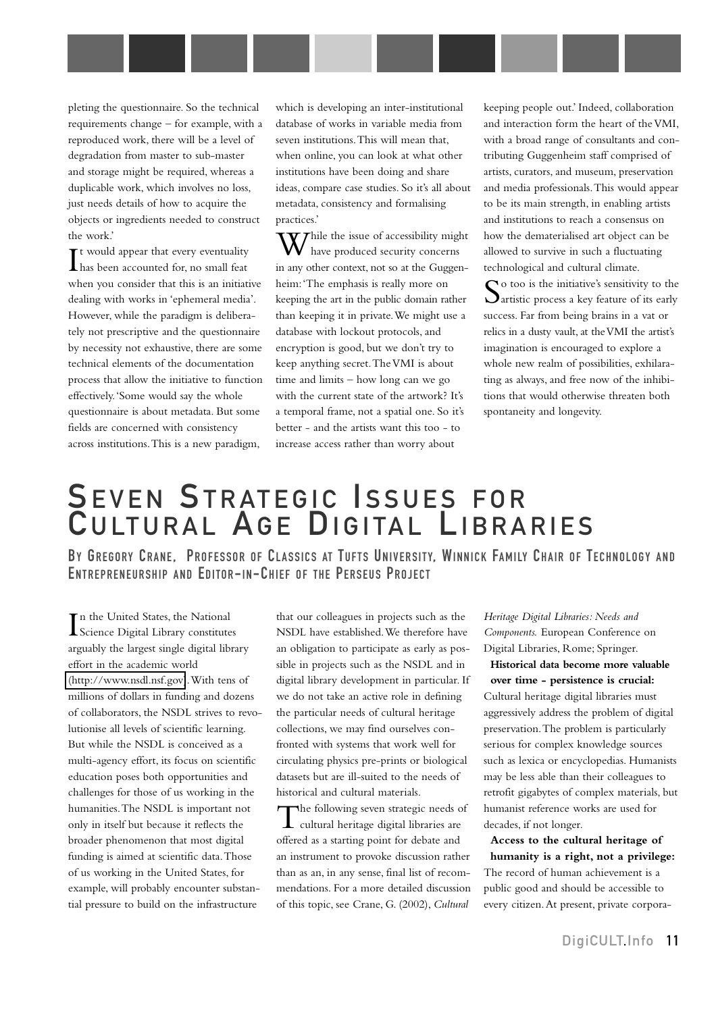

pleting the questionnaire. So the technical requirements change – for example, with a reproduced work, there will be a level of degradation from master to sub-master and storage might be required, whereas a duplicable work, which involves no loss, just needs details of how to acquire the objects or ingredients needed to construct the work.'

I t would appear that every eventuality has been accounted for, no small feat when you consider that this is an initiative dealing with works in 'ephemeral media'. However, while the paradigm is deliberately not prescriptive and the questionnaire by necessity not exhaustive, there are some technical elements of the documentation process that allow the initiative to function effectively.'Some would say the whole questionnaire is about metadata. But some fields are concerned with consistency across institutions.This is a new paradigm,

which is developing an inter-institutional database of works in variable media from seven institutions.This will mean that, when online, you can look at what other institutions have been doing and share ideas, compare case studies. So it's all about metadata, consistency and formalising practices.'

 $\mathbf{W}$  hile the issue of accessibility might have produced security concerns in any other context, not so at the Guggenheim:'The emphasis is really more on keeping the art in the public domain rather than keeping it in private.We might use a database with lockout protocols, and encryption is good, but we don't try to keep anything secret.The VMI is about time and limits – how long can we go with the current state of the artwork? It's a temporal frame, not a spatial one. So it's better - and the artists want this too - to increase access rather than worry about

keeping people out.' Indeed, collaboration and interaction form the heart of the VMI, with a broad range of consultants and contributing Guggenheim staff comprised of artists, curators, and museum, preservation and media professionals.This would appear to be its main strength, in enabling artists and institutions to reach a consensus on how the dematerialised art object can be allowed to survive in such a fluctuating technological and cultural climate.  $\bigcap$  o too is the initiative's sensitivity to the  $\sum$  artistic process a key feature of its early

success. Far from being brains in a vat or relics in a dusty vault, at the VMI the artist's imagination is encouraged to explore a whole new realm of possibilities, exhilarating as always, and free now of the inhibitions that would otherwise threaten both spontaneity and longevity.

### SEVEN STRATEGIC ISSUES FOR CULTURAL AGE DIGITAL LIBRARIES

BY GREGORY CRANE, PROFESSOR OF CLASSICS AT TUFTS UNIVERSITY, WINNICK FAMILY CHAIR OF TECHNOLOGY AND ENTREPRENEURSHIP AND EDITOR-IN-CHIEF OF THE PERSEUS PROJECT

I Science Digital Library constitutes n the United States, the National arguably the largest single digital library effort in the academic world [\(http://www.nsdl.nsf.gov\)](http://www.nsdl.nsf.gov).With tens of millions of dollars in funding and dozens of collaborators, the NSDL strives to revolutionise all levels of scientific learning. But while the NSDL is conceived as a multi-agency effort, its focus on scientific education poses both opportunities and challenges for those of us working in the humanities.The NSDL is important not only in itself but because it reflects the broader phenomenon that most digital funding is aimed at scientific data.Those of us working in the United States, for example, will probably encounter substantial pressure to build on the infrastructure

that our colleagues in projects such as the NSDL have established.We therefore have an obligation to participate as early as possible in projects such as the NSDL and in digital library development in particular. If we do not take an active role in defining the particular needs of cultural heritage collections, we may find ourselves confronted with systems that work well for circulating physics pre-prints or biological datasets but are ill-suited to the needs of historical and cultural materials.

The following seven strategic needs of cultural heritage digital libraries are offered as a starting point for debate and an instrument to provoke discussion rather than as an, in any sense, final list of recommendations. For a more detailed discussion of this topic, see Crane, G. (2002), *Cultural*

*Heritage Digital Libraries: Needs and Components.* European Conference on Digital Libraries, Rome; Springer.

**Historical data become more valuable over time - persistence is crucial:** Cultural heritage digital libraries must aggressively address the problem of digital preservation.The problem is particularly serious for complex knowledge sources such as lexica or encyclopedias. Humanists may be less able than their colleagues to retrofit gigabytes of complex materials, but humanist reference works are used for decades, if not longer.

**Access to the cultural heritage of humanity is a right, not a privilege:** The record of human achievement is a public good and should be accessible to every citizen.At present, private corpora-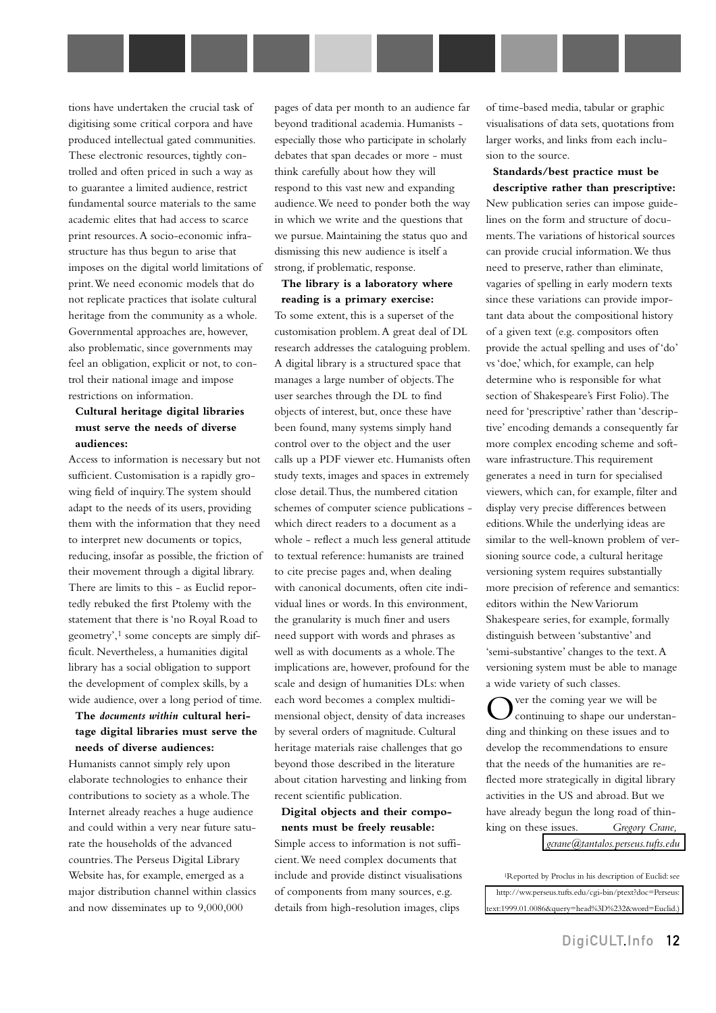tions have undertaken the crucial task of digitising some critical corpora and have produced intellectual gated communities. These electronic resources, tightly controlled and often priced in such a way as to guarantee a limited audience, restrict fundamental source materials to the same academic elites that had access to scarce print resources.A socio-economic infrastructure has thus begun to arise that imposes on the digital world limitations of print.We need economic models that do not replicate practices that isolate cultural heritage from the community as a whole. Governmental approaches are, however, also problematic, since governments may feel an obligation, explicit or not, to control their national image and impose restrictions on information.

### **Cultural heritage digital libraries must serve the needs of diverse audiences:**

Access to information is necessary but not sufficient. Customisation is a rapidly growing field of inquiry.The system should adapt to the needs of its users, providing them with the information that they need to interpret new documents or topics, reducing, insofar as possible, the friction of their movement through a digital library. There are limits to this - as Euclid reportedly rebuked the first Ptolemy with the statement that there is 'no Royal Road to geometry',1 some concepts are simply difficult. Nevertheless, a humanities digital library has a social obligation to support the development of complex skills, by a wide audience, over a long period of time.

### **The** *documents within* **cultural heritage digital libraries must serve the needs of diverse audiences:**

Humanists cannot simply rely upon elaborate technologies to enhance their contributions to society as a whole.The Internet already reaches a huge audience and could within a very near future saturate the households of the advanced countries.The Perseus Digital Library Website has, for example, emerged as a major distribution channel within classics and now disseminates up to 9,000,000

pages of data per month to an audience far beyond traditional academia. Humanists especially those who participate in scholarly debates that span decades or more - must think carefully about how they will respond to this vast new and expanding audience.We need to ponder both the way in which we write and the questions that we pursue. Maintaining the status quo and dismissing this new audience is itself a strong, if problematic, response.

**The library is a laboratory where reading is a primary exercise:** To some extent, this is a superset of the customisation problem.A great deal of DL research addresses the cataloguing problem. A digital library is a structured space that manages a large number of objects.The user searches through the DL to find objects of interest, but, once these have been found, many systems simply hand control over to the object and the user calls up a PDF viewer etc. Humanists often study texts, images and spaces in extremely close detail.Thus, the numbered citation schemes of computer science publications which direct readers to a document as a whole - reflect a much less general attitude to textual reference: humanists are trained to cite precise pages and, when dealing with canonical documents, often cite individual lines or words. In this environment, the granularity is much finer and users need support with words and phrases as well as with documents as a whole.The implications are, however, profound for the scale and design of humanities DLs: when each word becomes a complex multidimensional object, density of data increases by several orders of magnitude. Cultural heritage materials raise challenges that go beyond those described in the literature about citation harvesting and linking from recent scientific publication.

### **Digital objects and their components must be freely reusable:**

Simple access to information is not sufficient.We need complex documents that include and provide distinct visualisations of components from many sources, e.g. details from high-resolution images, clips

of time-based media, tabular or graphic visualisations of data sets, quotations from larger works, and links from each inclusion to the source.

**Standards/best practice must be descriptive rather than prescriptive:** New publication series can impose guidelines on the form and structure of documents.The variations of historical sources can provide crucial information.We thus need to preserve, rather than eliminate, vagaries of spelling in early modern texts since these variations can provide important data about the compositional history of a given text (e.g. compositors often provide the actual spelling and uses of 'do' vs 'doe,' which, for example, can help determine who is responsible for what section of Shakespeare's First Folio).The need for 'prescriptive' rather than 'descriptive' encoding demands a consequently far more complex encoding scheme and software infrastructure.This requirement generates a need in turn for specialised viewers, which can, for example, filter and display very precise differences between editions.While the underlying ideas are similar to the well-known problem of versioning source code, a cultural heritage versioning system requires substantially more precision of reference and semantics: editors within the New Variorum Shakespeare series, for example, formally distinguish between 'substantive' and 'semi-substantive' changes to the text.A versioning system must be able to manage a wide variety of such classes.

ver the coming year we will be continuing to shape our understanding and thinking on these issues and to develop the recommendations to ensure that the needs of the humanities are reflected more strategically in digital library activities in the US and abroad. But we have already begun the long road of thinking on these issues. *Gregory Crane, [gcrane@tantalos.perseus.tufts.edu](mailto:gcrane@tantalos.perseus.tufts.edu)*

1Reported by Proclus in his description of Euclid: see http://ww.perseus.tufts.edu/cgi-bin/ptext?doc=Perseus: [text:1999.01.0086&query=head%3D%232&word=Euclid.\)](http://www.perseus.tufts.edu/cgi-bin/ptext?doc=Perseus:text:1990.01.0056&query=head%3D&232&word=Euclid)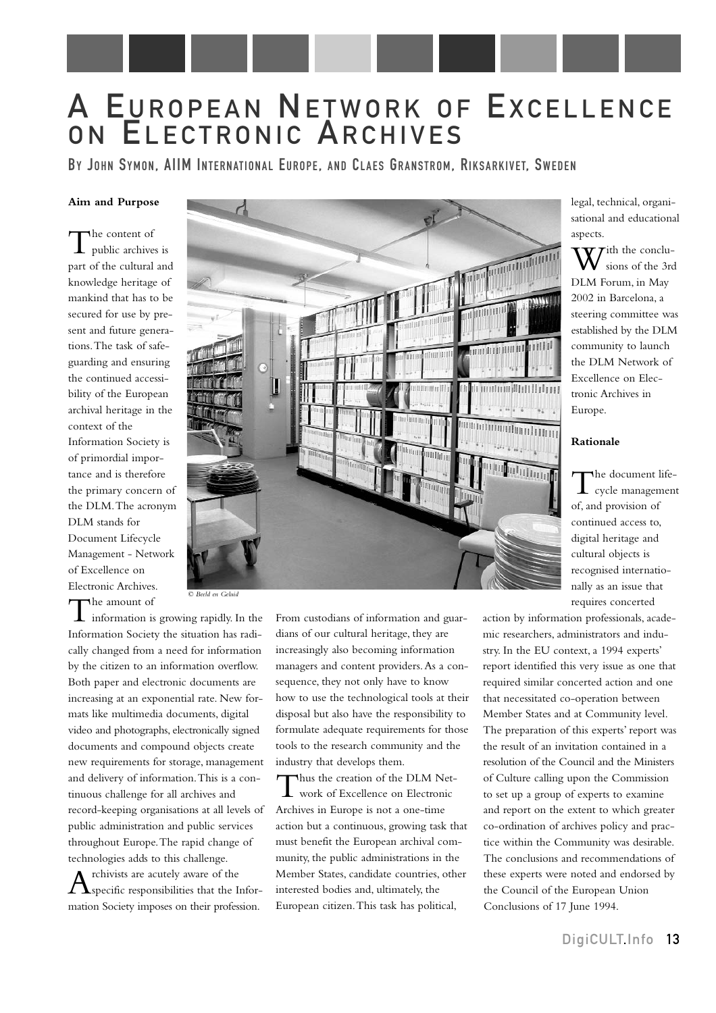## A EUROPEAN NETWORK OF EXCELLENCE ON ELECTRONIC ARCHIVES

BY JOHN SYMON, AIIM INTERNATIONAL EUROPE, AND CLAES GRANSTROM, RIKSARKIVET, SWEDEN

### **Aim and Purpose**

The content of public archives is part of the cultural and knowledge heritage of mankind that has to be secured for use by present and future generations.The task of safeguarding and ensuring the continued accessibility of the European archival heritage in the context of the Information Society is of primordial importance and is therefore the primary concern of the DLM.The acronym DLM stands for Document Lifecycle Management - Network of Excellence on Electronic Archives.



The amount of<br>information is growing rapidly. In the Information Society the situation has radically changed from a need for information by the citizen to an information overflow. Both paper and electronic documents are increasing at an exponential rate. New formats like multimedia documents, digital video and photographs, electronically signed documents and compound objects create new requirements for storage, management and delivery of information.This is a continuous challenge for all archives and record-keeping organisations at all levels of public administration and public services throughout Europe.The rapid change of technologies adds to this challenge.

 $A_\text{specific responsibilities that the Inform-  
tion is also a specific probabilities that the Inform$ mation Society imposes on their profession.

From custodians of information and guardians of our cultural heritage, they are increasingly also becoming information managers and content providers.As a consequence, they not only have to know how to use the technological tools at their disposal but also have the responsibility to formulate adequate requirements for those tools to the research community and the industry that develops them.

Thus the creation of the DLM Network of Excellence on Electronic Archives in Europe is not a one-time action but a continuous, growing task that must benefit the European archival community, the public administrations in the Member States, candidate countries, other interested bodies and, ultimately, the European citizen.This task has political,

legal, technical, organisational and educational aspects.

 $\boldsymbol{V}$ <sup>ith the conclu-</sup> sions of the 3rd DLM Forum, in May 2002 in Barcelona, a steering committee was established by the DLM community to launch the DLM Network of Excellence on Electronic Archives in Europe.

### **Rationale**

The document lifeof, and provision of continued access to, digital heritage and cultural objects is recognised internationally as an issue that requires concerted

action by information professionals, academic researchers, administrators and industry. In the EU context, a 1994 experts' report identified this very issue as one that required similar concerted action and one that necessitated co-operation between Member States and at Community level. The preparation of this experts' report was the result of an invitation contained in a resolution of the Council and the Ministers of Culture calling upon the Commission to set up a group of experts to examine and report on the extent to which greater co-ordination of archives policy and practice within the Community was desirable. The conclusions and recommendations of these experts were noted and endorsed by the Council of the European Union Conclusions of 17 June 1994.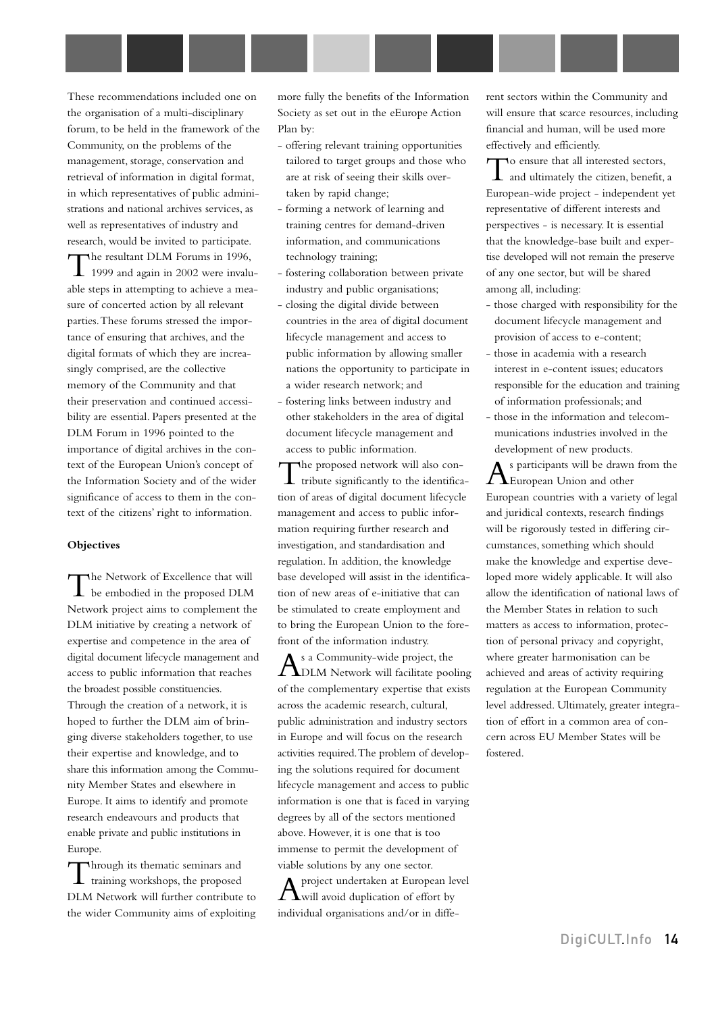These recommendations included one on the organisation of a multi-disciplinary forum, to be held in the framework of the Community, on the problems of the management, storage, conservation and retrieval of information in digital format, in which representatives of public administrations and national archives services, as well as representatives of industry and research, would be invited to participate. The resultant DLM Forums in 1996,  $\perp$  1999 and again in 2002 were invaluable steps in attempting to achieve a measure of concerted action by all relevant parties.These forums stressed the importance of ensuring that archives, and the digital formats of which they are increasingly comprised, are the collective memory of the Community and that their preservation and continued accessibility are essential. Papers presented at the DLM Forum in 1996 pointed to the importance of digital archives in the context of the European Union's concept of the Information Society and of the wider significance of access to them in the context of the citizens' right to information.

### **Objectives**

The Network of Excellence that will be embodied in the proposed DLM Network project aims to complement the DLM initiative by creating a network of expertise and competence in the area of digital document lifecycle management and access to public information that reaches the broadest possible constituencies. Through the creation of a network, it is hoped to further the DLM aim of bringing diverse stakeholders together, to use their expertise and knowledge, and to share this information among the Community Member States and elsewhere in Europe. It aims to identify and promote research endeavours and products that enable private and public institutions in Europe.

Through its thematic seminars and  $\perp$  training workshops, the proposed DLM Network will further contribute to the wider Community aims of exploiting more fully the benefits of the Information Society as set out in the eEurope Action Plan by:

- offering relevant training opportunities tailored to target groups and those who are at risk of seeing their skills overtaken by rapid change;
- forming a network of learning and training centres for demand-driven information, and communications technology training;
- fostering collaboration between private industry and public organisations;
- closing the digital divide between countries in the area of digital document lifecycle management and access to public information by allowing smaller nations the opportunity to participate in a wider research network; and
- fostering links between industry and other stakeholders in the area of digital document lifecycle management and access to public information.

The proposed network will also contribute significantly to the identification of areas of digital document lifecycle management and access to public information requiring further research and investigation, and standardisation and regulation. In addition, the knowledge base developed will assist in the identification of new areas of e-initiative that can be stimulated to create employment and to bring the European Union to the forefront of the information industry.

As a Community-wide project, the DLM Network will facilitate pooling of the complementary expertise that exists across the academic research, cultural, public administration and industry sectors in Europe and will focus on the research activities required.The problem of developing the solutions required for document lifecycle management and access to public information is one that is faced in varying degrees by all of the sectors mentioned above. However, it is one that is too immense to permit the development of viable solutions by any one sector.

 $A$ project undertaken at European level<br>will avoid duplication of effort by individual organisations and/or in different sectors within the Community and will ensure that scarce resources, including financial and human, will be used more effectively and efficiently.

To ensure that all interested sectors, and ultimately the citizen, benefit, a European-wide project - independent yet representative of different interests and perspectives - is necessary. It is essential that the knowledge-base built and expertise developed will not remain the preserve of any one sector, but will be shared among all, including:

- those charged with responsibility for the document lifecycle management and provision of access to e-content;
- those in academia with a research interest in e-content issues; educators responsible for the education and training of information professionals; and
- those in the information and telecommunications industries involved in the development of new products.

 ${\displaystyle \bigwedge}$ s participants will be drawn from the European Union and other European countries with a variety of legal and juridical contexts, research findings will be rigorously tested in differing circumstances, something which should make the knowledge and expertise developed more widely applicable. It will also allow the identification of national laws of the Member States in relation to such matters as access to information, protection of personal privacy and copyright, where greater harmonisation can be achieved and areas of activity requiring regulation at the European Community level addressed. Ultimately, greater integration of effort in a common area of concern across EU Member States will be fostered.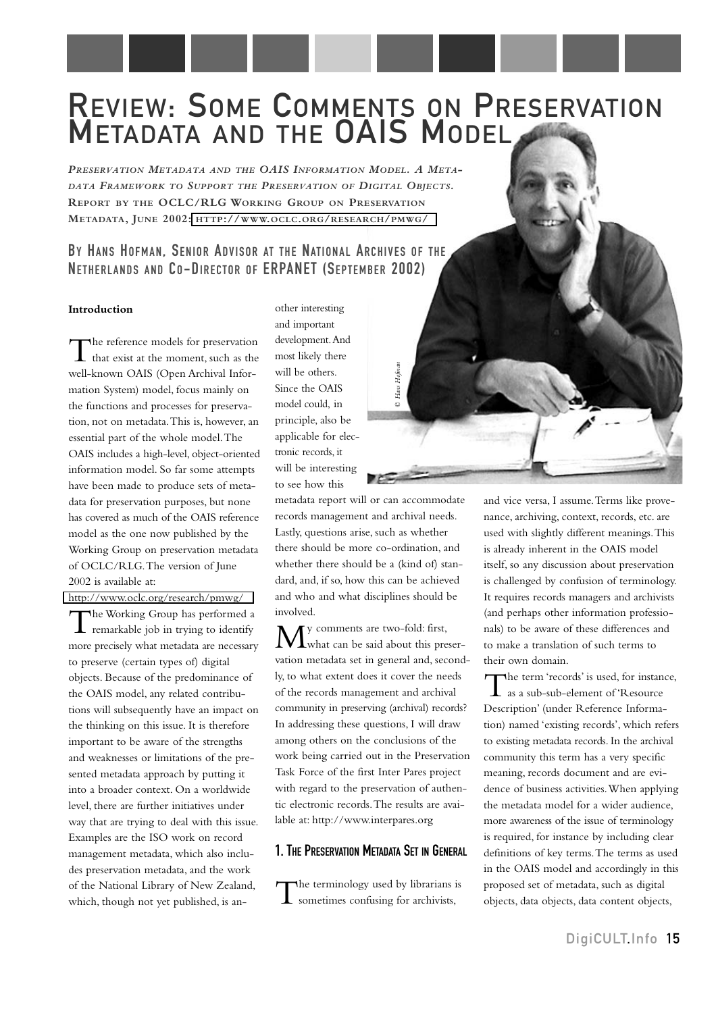## REVIEW: SOME COMMENTS ON PRESERVATION METADATA AND THE OAIS MODEL

*PRESERVATION METADATA AND THE OAIS INFORMATION MODEL. A META-DATA FRAMEWORK TO SUPPORT THE PRESERVATION OF DIGITAL OBJECTS.*  **REPORT BY THE OCLC/RLG WORKING GROUP ON PRESERVATION METADATA, JUNE 2002: [HTTP://WWW.OCLC.ORG/RESEARCH/PMWG/](http://www.oclc.org/research/pmwg)**

### BY HANS HOFMAN, SENIOR ADVISOR AT THE NATIONAL ARCHIVES OF THE NETHERLANDS AND CO-DIRECTOR OF ERPANET (SEPTEMBER 2002)

### **Introduction**

The reference models for preservation that exist at the moment, such as the well-known OAIS (Open Archival Information System) model, focus mainly on the functions and processes for preservation, not on metadata.This is, however, an essential part of the whole model.The OAIS includes a high-level, object-oriented information model. So far some attempts have been made to produce sets of metadata for preservation purposes, but none has covered as much of the OAIS reference model as the one now published by the Working Group on preservation metadata of OCLC/RLG.The version of June 2002 is available at:

[http://www.oclc.org/research/pmwg/](http://www.oclc.org/research/pmwg)  The Working Group has performed a remarkable job in trying to identify more precisely what metadata are necessary to preserve (certain types of) digital objects. Because of the predominance of the OAIS model, any related contributions will subsequently have an impact on the thinking on this issue. It is therefore important to be aware of the strengths and weaknesses or limitations of the presented metadata approach by putting it into a broader context. On a worldwide level, there are further initiatives under way that are trying to deal with this issue. Examples are the ISO work on record management metadata, which also includes preservation metadata, and the work of the National Library of New Zealand, which, though not yet published, is another interesting and important development.And most likely there will be others. Since the OAIS model could, in principle, also be applicable for electronic records, it will be interesting to see how this

metadata report will or can accommodate records management and archival needs. Lastly, questions arise, such as whether there should be more co-ordination, and whether there should be a (kind of) standard, and, if so, how this can be achieved and who and what disciplines should be involved.

*© Hans Hofman*Hans Hofma

 $\mathbf{M}^\text{y comments are two-fold: first,}$ vation metadata set in general and, secondly, to what extent does it cover the needs of the records management and archival community in preserving (archival) records? In addressing these questions, I will draw among others on the conclusions of the work being carried out in the Preservation Task Force of the first Inter Pares project with regard to the preservation of authentic electronic records.The results are available at: http://www.interpares.org

### 1. THE PRESERVATION METADATA SET IN GENERAL

The terminology used by librarians is sometimes confusing for archivists,

and vice versa, I assume.Terms like provenance, archiving, context, records, etc. are used with slightly different meanings.This is already inherent in the OAIS model itself, so any discussion about preservation is challenged by confusion of terminology. It requires records managers and archivists (and perhaps other information professionals) to be aware of these differences and to make a translation of such terms to their own domain.

The term 'records' is used, for instance, as a sub-sub-element of 'Resource Description' (under Reference Information) named 'existing records', which refers to existing metadata records. In the archival community this term has a very specific meaning, records document and are evidence of business activities.When applying the metadata model for a wider audience, more awareness of the issue of terminology is required, for instance by including clear definitions of key terms.The terms as used in the OAIS model and accordingly in this proposed set of metadata, such as digital objects, data objects, data content objects,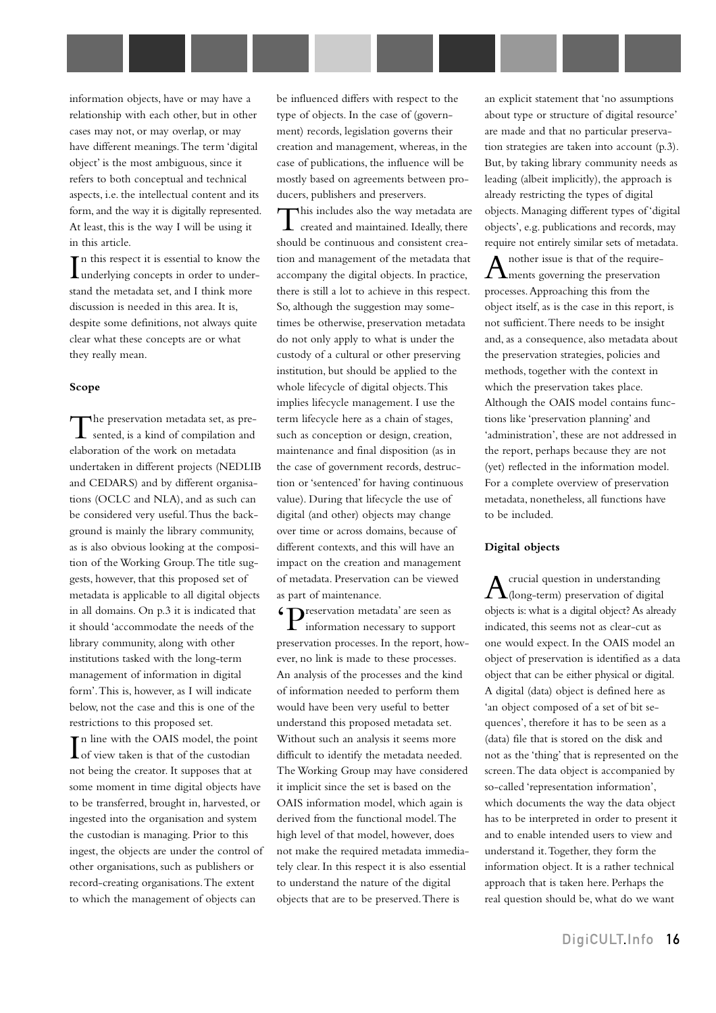

information objects, have or may have a relationship with each other, but in other cases may not, or may overlap, or may have different meanings.The term 'digital object' is the most ambiguous, since it refers to both conceptual and technical aspects, i.e. the intellectual content and its form, and the way it is digitally represented. At least, this is the way I will be using it in this article.

In this respect it is essential to know the under-<br>during concepts in order to undern this respect it is essential to know the stand the metadata set, and I think more discussion is needed in this area. It is, despite some definitions, not always quite clear what these concepts are or what they really mean.

#### **Scope**

The preservation metadata set, as pre-<br>sented, is a kind of compilation and elaboration of the work on metadata undertaken in different projects (NEDLIB and CEDARS) and by different organisations (OCLC and NLA), and as such can be considered very useful.Thus the background is mainly the library community, as is also obvious looking at the composition of the Working Group.The title suggests, however, that this proposed set of metadata is applicable to all digital objects in all domains. On p.3 it is indicated that it should 'accommodate the needs of the library community, along with other institutions tasked with the long-term management of information in digital form'.This is, however, as I will indicate below, not the case and this is one of the restrictions to this proposed set.

 $\prod$ <sup>n</sup> line with the OAIS model, the point of view taken is that of the custodian n line with the OAIS model, the point not being the creator. It supposes that at some moment in time digital objects have to be transferred, brought in, harvested, or ingested into the organisation and system the custodian is managing. Prior to this ingest, the objects are under the control of other organisations, such as publishers or record-creating organisations.The extent to which the management of objects can

be influenced differs with respect to the type of objects. In the case of (government) records, legislation governs their creation and management, whereas, in the case of publications, the influence will be mostly based on agreements between producers, publishers and preservers.

This includes also the way metadata are created and maintained. Ideally, there should be continuous and consistent creation and management of the metadata that accompany the digital objects. In practice, there is still a lot to achieve in this respect. So, although the suggestion may sometimes be otherwise, preservation metadata do not only apply to what is under the custody of a cultural or other preserving institution, but should be applied to the whole lifecycle of digital objects.This implies lifecycle management. I use the term lifecycle here as a chain of stages, such as conception or design, creation, maintenance and final disposition (as in the case of government records, destruction or 'sentenced' for having continuous value). During that lifecycle the use of digital (and other) objects may change over time or across domains, because of different contexts, and this will have an impact on the creation and management of metadata. Preservation can be viewed as part of maintenance.

'Preservation metadata' are seen as information necessary to support preservation processes. In the report, however, no link is made to these processes. An analysis of the processes and the kind of information needed to perform them would have been very useful to better understand this proposed metadata set. Without such an analysis it seems more difficult to identify the metadata needed. The Working Group may have considered it implicit since the set is based on the OAIS information model, which again is derived from the functional model.The high level of that model, however, does not make the required metadata immediately clear. In this respect it is also essential to understand the nature of the digital objects that are to be preserved.There is

an explicit statement that 'no assumptions about type or structure of digital resource' are made and that no particular preservation strategies are taken into account (p.3). But, by taking library community needs as leading (albeit implicitly), the approach is already restricting the types of digital objects. Managing different types of 'digital objects', e.g. publications and records, may require not entirely similar sets of metadata.

 $A$  nother issue is that of the require-<br>ments governing the preservation processes.Approaching this from the object itself, as is the case in this report, is not sufficient.There needs to be insight and, as a consequence, also metadata about the preservation strategies, policies and methods, together with the context in which the preservation takes place. Although the OAIS model contains functions like 'preservation planning' and 'administration', these are not addressed in the report, perhaps because they are not (yet) reflected in the information model. For a complete overview of preservation metadata, nonetheless, all functions have to be included.

### **Digital objects**

 $A$ crucial question in understanding<br>(long-term) preservation of digital objects is: what is a digital object? As already indicated, this seems not as clear-cut as one would expect. In the OAIS model an object of preservation is identified as a data object that can be either physical or digital. A digital (data) object is defined here as 'an object composed of a set of bit sequences', therefore it has to be seen as a (data) file that is stored on the disk and not as the 'thing' that is represented on the screen.The data object is accompanied by so-called 'representation information', which documents the way the data object has to be interpreted in order to present it and to enable intended users to view and understand it.Together, they form the information object. It is a rather technical approach that is taken here. Perhaps the real question should be, what do we want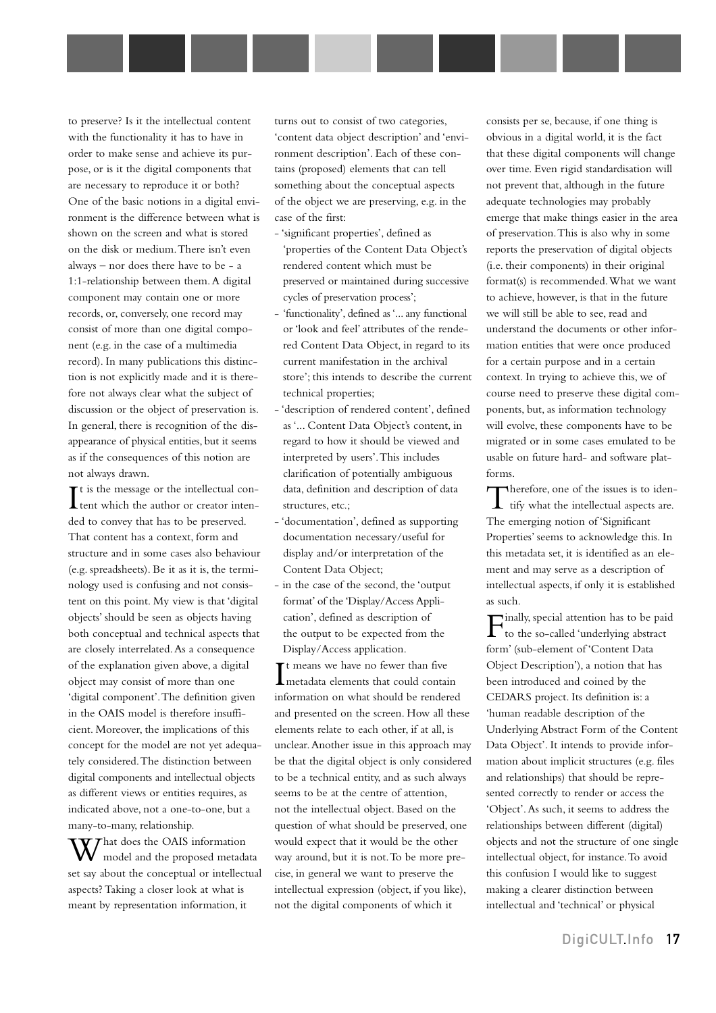to preserve? Is it the intellectual content with the functionality it has to have in order to make sense and achieve its purpose, or is it the digital components that are necessary to reproduce it or both? One of the basic notions in a digital environment is the difference between what is shown on the screen and what is stored on the disk or medium.There isn't even always – nor does there have to be - a 1:1-relationship between them.A digital component may contain one or more records, or, conversely, one record may consist of more than one digital component (e.g. in the case of a multimedia record). In many publications this distinction is not explicitly made and it is therefore not always clear what the subject of discussion or the object of preservation is. In general, there is recognition of the disappearance of physical entities, but it seems as if the consequences of this notion are not always drawn.

 $\prod$  t is the message or the intellectual content which the author or creator inten- $\mathbf{T}$ t is the message or the intellectual conded to convey that has to be preserved. That content has a context, form and structure and in some cases also behaviour (e.g. spreadsheets). Be it as it is, the terminology used is confusing and not consistent on this point. My view is that 'digital objects' should be seen as objects having both conceptual and technical aspects that are closely interrelated.As a consequence of the explanation given above, a digital object may consist of more than one 'digital component'.The definition given in the OAIS model is therefore insufficient. Moreover, the implications of this concept for the model are not yet adequately considered.The distinction between digital components and intellectual objects as different views or entities requires, as indicated above, not a one-to-one, but a many-to-many, relationship.

 $\overrightarrow{X}$ hat does the OAIS information model and the proposed metadata set say about the conceptual or intellectual aspects? Taking a closer look at what is meant by representation information, it

turns out to consist of two categories, 'content data object description' and 'environment description'. Each of these contains (proposed) elements that can tell something about the conceptual aspects of the object we are preserving, e.g. in the case of the first:

- 'significant properties', defined as 'properties of the Content Data Object's rendered content which must be preserved or maintained during successive cycles of preservation process';
- 'functionality', defined as '... any functional or 'look and feel' attributes of the rendered Content Data Object, in regard to its current manifestation in the archival store'; this intends to describe the current technical properties;
- 'description of rendered content', defined as '... Content Data Object's content, in regard to how it should be viewed and interpreted by users'.This includes clarification of potentially ambiguous data, definition and description of data structures, etc.;
- 'documentation', defined as supporting documentation necessary/useful for display and/or interpretation of the Content Data Object;
- in the case of the second, the 'output format' of the 'Display/Access Application', defined as description of the output to be expected from the Display/Access application.

It means we have no fewer than five<br>metadata elements that could contain Tt means we have no fewer than five information on what should be rendered and presented on the screen. How all these elements relate to each other, if at all, is unclear.Another issue in this approach may be that the digital object is only considered to be a technical entity, and as such always seems to be at the centre of attention, not the intellectual object. Based on the question of what should be preserved, one would expect that it would be the other way around, but it is not.To be more precise, in general we want to preserve the intellectual expression (object, if you like), not the digital components of which it

consists per se, because, if one thing is obvious in a digital world, it is the fact that these digital components will change over time. Even rigid standardisation will not prevent that, although in the future adequate technologies may probably emerge that make things easier in the area of preservation.This is also why in some reports the preservation of digital objects (i.e. their components) in their original format(s) is recommended.What we want to achieve, however, is that in the future we will still be able to see, read and understand the documents or other information entities that were once produced for a certain purpose and in a certain context. In trying to achieve this, we of course need to preserve these digital components, but, as information technology will evolve, these components have to be migrated or in some cases emulated to be usable on future hard- and software platforms.

Therefore, one of the issues is to iden-tify what the intellectual aspects are. The emerging notion of 'Significant Properties' seems to acknowledge this. In this metadata set, it is identified as an element and may serve as a description of intellectual aspects, if only it is established as such.

Finally, special attention has to be paid to the so-called 'underlying abstract form' (sub-element of 'Content Data Object Description'), a notion that has been introduced and coined by the CEDARS project. Its definition is: a 'human readable description of the Underlying Abstract Form of the Content Data Object'. It intends to provide information about implicit structures (e.g. files and relationships) that should be represented correctly to render or access the 'Object'.As such, it seems to address the relationships between different (digital) objects and not the structure of one single intellectual object, for instance.To avoid this confusion I would like to suggest making a clearer distinction between intellectual and 'technical' or physical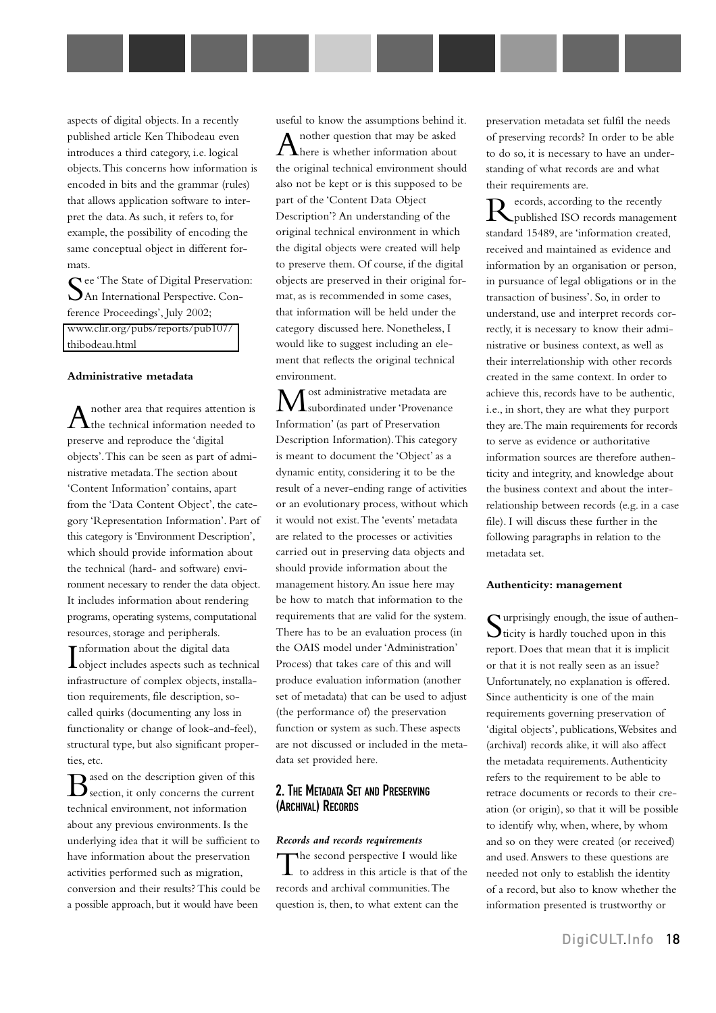aspects of digital objects. In a recently published article Ken Thibodeau even introduces a third category, i.e. logical objects.This concerns how information is encoded in bits and the grammar (rules) that allows application software to interpret the data.As such, it refers to, for example, the possibility of encoding the same conceptual object in different formats.

 $\bigcap$  ee 'The State of Digital Preservation: An International Perspective. Conference Proceedings', July 2002; [www.clir.org/pubs/reports/pub107/](http://www.clir.org/pubs/reports/pub107/thibodeau.html) thibodeau.html

### **Administrative metadata**

 $A$ nother area that requires attention is<br>the technical information needed to preserve and reproduce the 'digital objects'.This can be seen as part of administrative metadata.The section about 'Content Information' contains, apart from the 'Data Content Object', the category 'Representation Information'. Part of this category is 'Environment Description', which should provide information about the technical (hard- and software) environment necessary to render the data object. It includes information about rendering programs, operating systems, computational resources, storage and peripherals.

Information about the digital data<br>
object includes aspects such as technical nformation about the digital data infrastructure of complex objects, installation requirements, file description, socalled quirks (documenting any loss in functionality or change of look-and-feel), structural type, but also significant properties, etc.

Based on the description given of this section, it only concerns the current technical environment, not information about any previous environments. Is the underlying idea that it will be sufficient to have information about the preservation activities performed such as migration, conversion and their results? This could be a possible approach, but it would have been

useful to know the assumptions behind it.

Another question that may be asked here is whether information about the original technical environment should also not be kept or is this supposed to be part of the 'Content Data Object Description'? An understanding of the original technical environment in which the digital objects were created will help to preserve them. Of course, if the digital objects are preserved in their original format, as is recommended in some cases, that information will be held under the category discussed here. Nonetheless, I would like to suggest including an element that reflects the original technical environment.

 $\mathbf{M}$ ost administrative metadata are<br>subordinated under 'Provenance' Information' (as part of Preservation Description Information).This category is meant to document the 'Object' as a dynamic entity, considering it to be the result of a never-ending range of activities or an evolutionary process, without which it would not exist.The 'events' metadata are related to the processes or activities carried out in preserving data objects and should provide information about the management history.An issue here may be how to match that information to the requirements that are valid for the system. There has to be an evaluation process (in the OAIS model under 'Administration' Process) that takes care of this and will produce evaluation information (another set of metadata) that can be used to adjust (the performance of) the preservation function or system as such.These aspects are not discussed or included in the metadata set provided here.

### 2. THE METADATA SET AND PRESERVING (ARCHIVAL) RECORDS

#### *Records and records requirements*

The second perspective I would like<br>to address in this article is that of the records and archival communities.The question is, then, to what extent can the

preservation metadata set fulfil the needs of preserving records? In order to be able to do so, it is necessary to have an understanding of what records are and what their requirements are.

Records, according to the recently published ISO records management standard 15489, are 'information created, received and maintained as evidence and information by an organisation or person, in pursuance of legal obligations or in the transaction of business'. So, in order to understand, use and interpret records correctly, it is necessary to know their administrative or business context, as well as their interrelationship with other records created in the same context. In order to achieve this, records have to be authentic, i.e., in short, they are what they purport they are.The main requirements for records to serve as evidence or authoritative information sources are therefore authenticity and integrity, and knowledge about the business context and about the interrelationship between records (e.g. in a case file). I will discuss these further in the following paragraphs in relation to the metadata set.

### **Authenticity: management**

 $\bigcap$  urprisingly enough, the issue of authen- $\bigcup$  ticity is hardly touched upon in this report. Does that mean that it is implicit or that it is not really seen as an issue? Unfortunately, no explanation is offered. Since authenticity is one of the main requirements governing preservation of 'digital objects', publications,Websites and (archival) records alike, it will also affect the metadata requirements.Authenticity refers to the requirement to be able to retrace documents or records to their creation (or origin), so that it will be possible to identify why, when, where, by whom and so on they were created (or received) and used.Answers to these questions are needed not only to establish the identity of a record, but also to know whether the information presented is trustworthy or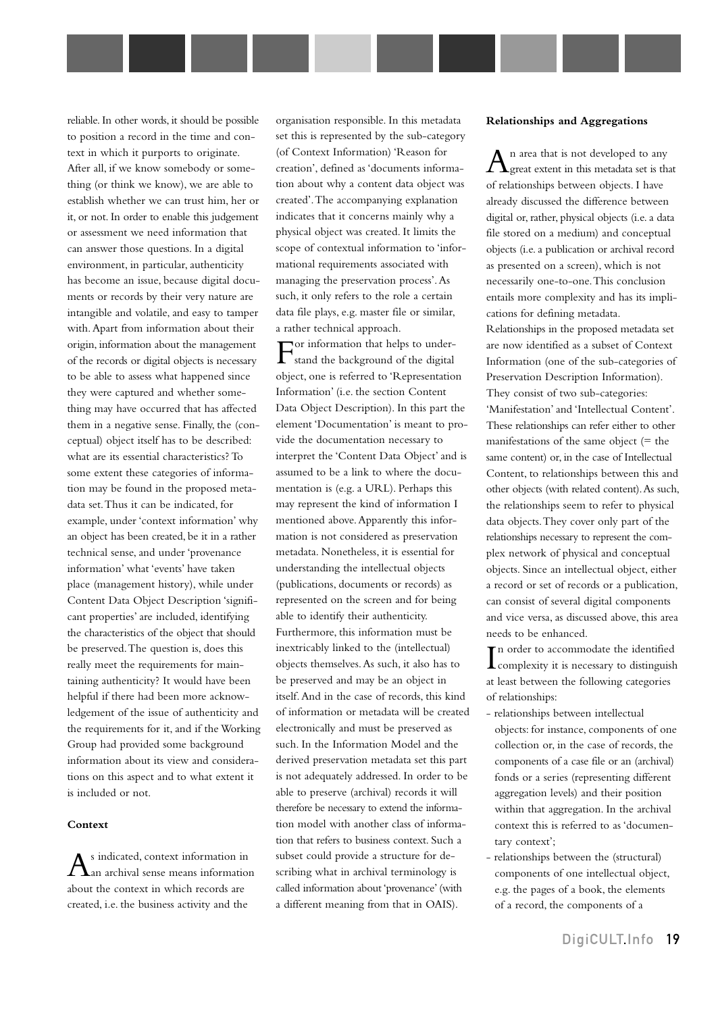reliable. In other words, it should be possible to position a record in the time and context in which it purports to originate. After all, if we know somebody or something (or think we know), we are able to establish whether we can trust him, her or it, or not. In order to enable this judgement or assessment we need information that can answer those questions. In a digital environment, in particular, authenticity has become an issue, because digital documents or records by their very nature are intangible and volatile, and easy to tamper with.Apart from information about their origin, information about the management of the records or digital objects is necessary to be able to assess what happened since they were captured and whether something may have occurred that has affected them in a negative sense. Finally, the (conceptual) object itself has to be described: what are its essential characteristics? To some extent these categories of information may be found in the proposed metadata set.Thus it can be indicated, for example, under 'context information' why an object has been created, be it in a rather technical sense, and under 'provenance information' what 'events' have taken place (management history), while under Content Data Object Description 'significant properties' are included, identifying the characteristics of the object that should be preserved.The question is, does this really meet the requirements for maintaining authenticity? It would have been helpful if there had been more acknowledgement of the issue of authenticity and the requirements for it, and if the Working Group had provided some background information about its view and considerations on this aspect and to what extent it is included or not.

### **Context**

 $A$ <sup>s</sup> indicated, context information in<br>an archival sense means information about the context in which records are created, i.e. the business activity and the

organisation responsible. In this metadata set this is represented by the sub-category (of Context Information) 'Reason for creation', defined as 'documents information about why a content data object was created'.The accompanying explanation indicates that it concerns mainly why a physical object was created. It limits the scope of contextual information to 'informational requirements associated with managing the preservation process'.As such, it only refers to the role a certain data file plays, e.g. master file or similar, a rather technical approach.

For information that helps to under-stand the background of the digital object, one is referred to 'Representation Information' (i.e. the section Content Data Object Description). In this part the element 'Documentation' is meant to provide the documentation necessary to interpret the 'Content Data Object' and is assumed to be a link to where the documentation is (e.g. a URL). Perhaps this may represent the kind of information I mentioned above.Apparently this information is not considered as preservation metadata. Nonetheless, it is essential for understanding the intellectual objects (publications, documents or records) as represented on the screen and for being able to identify their authenticity. Furthermore, this information must be inextricably linked to the (intellectual) objects themselves.As such, it also has to be preserved and may be an object in itself.And in the case of records, this kind of information or metadata will be created electronically and must be preserved as such. In the Information Model and the derived preservation metadata set this part is not adequately addressed. In order to be able to preserve (archival) records it will therefore be necessary to extend the information model with another class of information that refers to business context. Such a subset could provide a structure for describing what in archival terminology is called information about 'provenance' (with a different meaning from that in OAIS).

#### **Relationships and Aggregations**

 $A$ <sup>n</sup> area that is not developed to any<br>great extent in this metadata set is that of relationships between objects. I have already discussed the difference between digital or, rather, physical objects (i.e. a data file stored on a medium) and conceptual objects (i.e. a publication or archival record as presented on a screen), which is not necessarily one-to-one.This conclusion entails more complexity and has its implications for defining metadata. Relationships in the proposed metadata set are now identified as a subset of Context Information (one of the sub-categories of Preservation Description Information). They consist of two sub-categories: 'Manifestation' and 'Intellectual Content'. These relationships can refer either to other manifestations of the same object  $(=$  the same content) or, in the case of Intellectual Content, to relationships between this and other objects (with related content).As such, the relationships seem to refer to physical data objects.They cover only part of the relationships necessary to represent the complex network of physical and conceptual objects. Since an intellectual object, either a record or set of records or a publication, can consist of several digital components and vice versa, as discussed above, this area needs to be enhanced.

In order to accommodate the identified<br>complexity it is necessary to distinguish n order to accommodate the identified at least between the following categories of relationships:

- relationships between intellectual objects: for instance, components of one collection or, in the case of records, the components of a case file or an (archival) fonds or a series (representing different aggregation levels) and their position within that aggregation. In the archival context this is referred to as 'documentary context';
- relationships between the (structural) components of one intellectual object, e.g. the pages of a book, the elements of a record, the components of a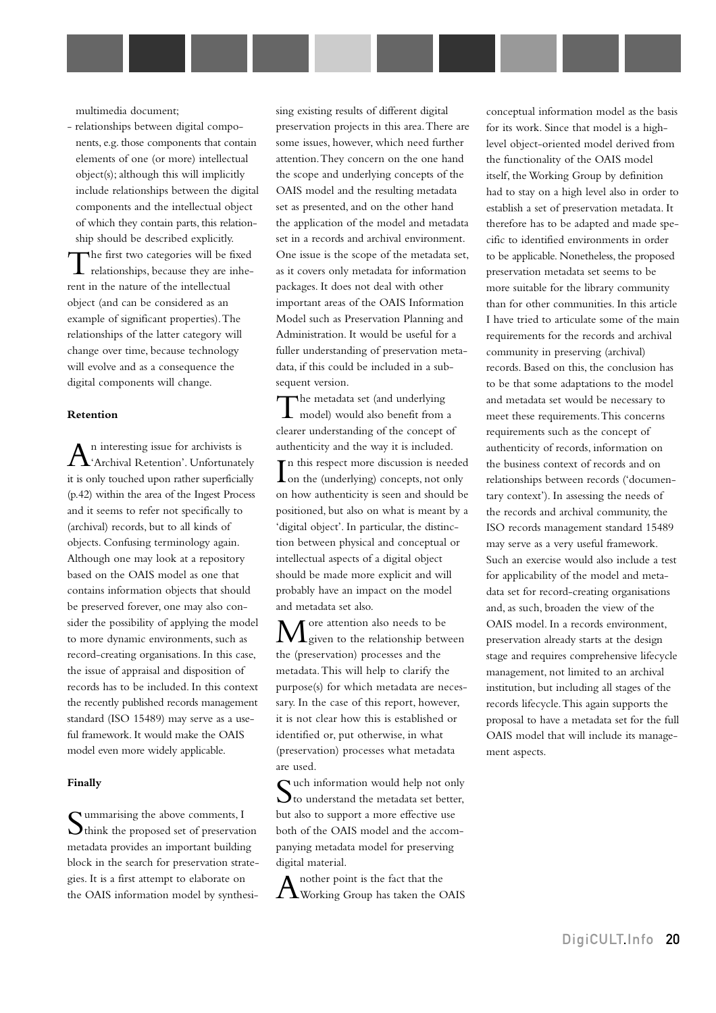multimedia document;

- relationships between digital components, e.g. those components that contain elements of one (or more) intellectual object(s); although this will implicitly include relationships between the digital components and the intellectual object of which they contain parts, this relationship should be described explicitly. The first two categories will be fixed<br>relationships, because they are inherent in the nature of the intellectual object (and can be considered as an example of significant properties).The relationships of the latter category will change over time, because technology will evolve and as a consequence the digital components will change.

### **Retention**

 $A$ <sup>n</sup> interesting issue for archivists is<br>A Archival Retention'. Unfortunately it is only touched upon rather superficially (p.42) within the area of the Ingest Process and it seems to refer not specifically to (archival) records, but to all kinds of objects. Confusing terminology again. Although one may look at a repository based on the OAIS model as one that contains information objects that should be preserved forever, one may also consider the possibility of applying the model to more dynamic environments, such as record-creating organisations. In this case, the issue of appraisal and disposition of records has to be included. In this context the recently published records management standard (ISO 15489) may serve as a useful framework. It would make the OAIS model even more widely applicable.

### **Finally**

Summarising the above comments, I<br>Sthink the proposed set of preservation metadata provides an important building block in the search for preservation strategies. It is a first attempt to elaborate on the OAIS information model by synthesi-

sing existing results of different digital preservation projects in this area.There are some issues, however, which need further attention.They concern on the one hand the scope and underlying concepts of the OAIS model and the resulting metadata set as presented, and on the other hand the application of the model and metadata set in a records and archival environment. One issue is the scope of the metadata set, as it covers only metadata for information packages. It does not deal with other important areas of the OAIS Information Model such as Preservation Planning and Administration. It would be useful for a fuller understanding of preservation metadata, if this could be included in a subsequent version.

The metadata set (and underlying model) would also benefit from a clearer understanding of the concept of authenticity and the way it is included. In this respect more discussion is neederlying) concepts, not only n this respect more discussion is needed on how authenticity is seen and should be positioned, but also on what is meant by a 'digital object'. In particular, the distinction between physical and conceptual or intellectual aspects of a digital object should be made more explicit and will probably have an impact on the model and metadata set also.

 $\mathbf{M}$  ore attention also needs to be given to the relationship between the (preservation) processes and the metadata.This will help to clarify the purpose(s) for which metadata are necessary. In the case of this report, however, it is not clear how this is established or identified or, put otherwise, in what (preservation) processes what metadata are used.

Such information would help not only<br>to understand the metadata set better, but also to support a more effective use both of the OAIS model and the accompanying metadata model for preserving digital material.

 $A$ nother point is the fact that the OAIS

conceptual information model as the basis for its work. Since that model is a highlevel object-oriented model derived from the functionality of the OAIS model itself, the Working Group by definition had to stay on a high level also in order to establish a set of preservation metadata. It therefore has to be adapted and made specific to identified environments in order to be applicable. Nonetheless, the proposed preservation metadata set seems to be more suitable for the library community than for other communities. In this article I have tried to articulate some of the main requirements for the records and archival community in preserving (archival) records. Based on this, the conclusion has to be that some adaptations to the model and metadata set would be necessary to meet these requirements.This concerns requirements such as the concept of authenticity of records, information on the business context of records and on relationships between records ('documentary context'). In assessing the needs of the records and archival community, the ISO records management standard 15489 may serve as a very useful framework. Such an exercise would also include a test for applicability of the model and metadata set for record-creating organisations and, as such, broaden the view of the OAIS model. In a records environment, preservation already starts at the design stage and requires comprehensive lifecycle management, not limited to an archival institution, but including all stages of the records lifecycle.This again supports the proposal to have a metadata set for the full OAIS model that will include its management aspects.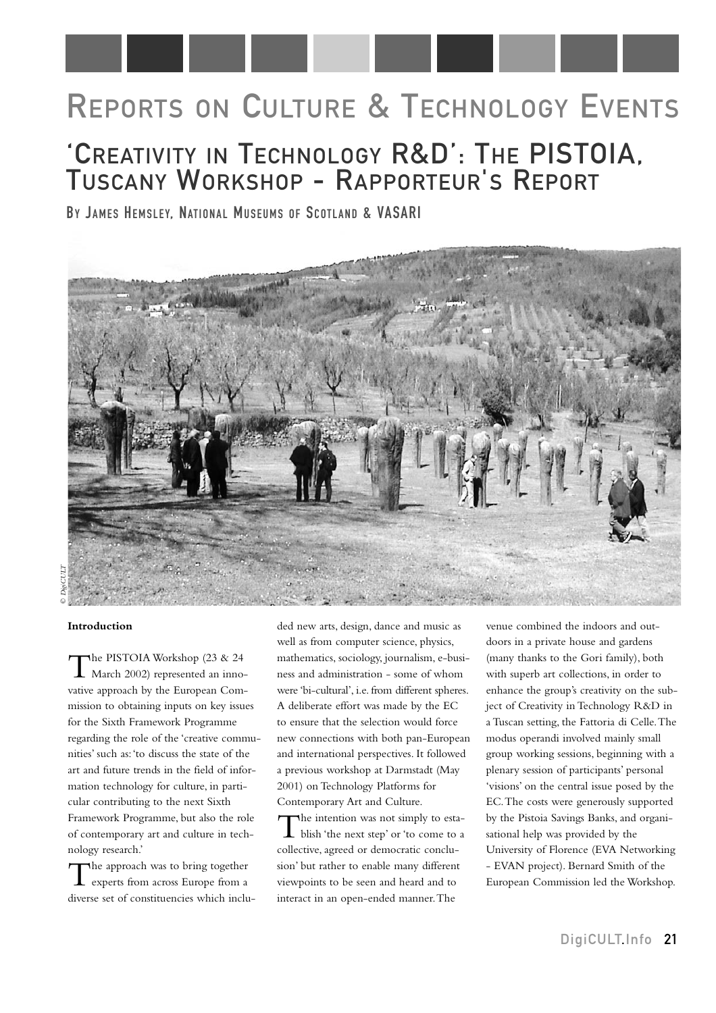## <span id="page-20-0"></span>REPORTS ON CULTURE & TECHNOLOGY EVENTS

### 'CREATIVITY IN TECHNOLOGY R&D': THE PISTOIA, TUSCANY WORKSHOP - RAPPORTEUR'S REPORT

BY JAMES HEMSLEY, NATIONAL MUSEUMS OF SCOTLAND & VASARI



### **Introduction**

The PISTOIA Workshop (23 & 24 March 2002) represented an innovative approach by the European Commission to obtaining inputs on key issues for the Sixth Framework Programme regarding the role of the 'creative communities' such as:'to discuss the state of the art and future trends in the field of information technology for culture, in particular contributing to the next Sixth Framework Programme, but also the role of contemporary art and culture in technology research.'

The approach was to bring together experts from across Europe from a diverse set of constituencies which included new arts, design, dance and music as well as from computer science, physics, mathematics, sociology, journalism, e-business and administration - some of whom were 'bi-cultural', i.e. from different spheres. A deliberate effort was made by the EC to ensure that the selection would force new connections with both pan-European and international perspectives. It followed a previous workshop at Darmstadt (May 2001) on Technology Platforms for Contemporary Art and Culture.

The intention was not simply to esta-<br>blish 'the next step' or 'to come to a collective, agreed or democratic conclusion' but rather to enable many different viewpoints to be seen and heard and to interact in an open-ended manner.The

venue combined the indoors and outdoors in a private house and gardens (many thanks to the Gori family), both with superb art collections, in order to enhance the group's creativity on the subject of Creativity in Technology R&D in a Tuscan setting, the Fattoria di Celle.The modus operandi involved mainly small group working sessions, beginning with a plenary session of participants' personal 'visions' on the central issue posed by the EC.The costs were generously supported by the Pistoia Savings Banks, and organisational help was provided by the University of Florence (EVA Networking - EVAN project). Bernard Smith of the European Commission led the Workshop.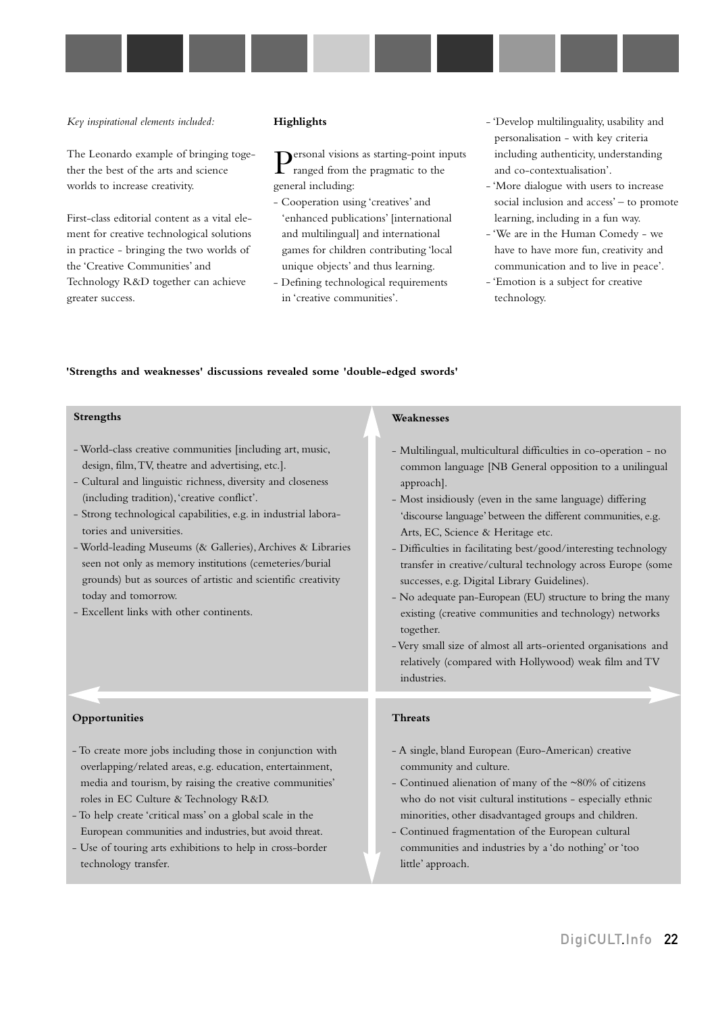### *Key inspirational elements included:*

The Leonardo example of bringing together the best of the arts and science worlds to increase creativity.

First-class editorial content as a vital element for creative technological solutions in practice - bringing the two worlds of the 'Creative Communities' and Technology R&D together can achieve greater success.

### **Highlights**

general including: **Personal visions as starting-point inputs** ranged from the pragmatic to the

- Cooperation using 'creatives' and 'enhanced publications' [international and multilingual] and international games for children contributing 'local unique objects' and thus learning.
- Defining technological requirements in 'creative communities'.
- 'Develop multilinguality, usability and personalisation - with key criteria including authenticity, understanding and co-contextualisation'.
- 'More dialogue with users to increase social inclusion and access' – to promote learning, including in a fun way.
- 'We are in the Human Comedy we have to have more fun, creativity and communication and to live in peace'.
- 'Emotion is a subject for creative technology.

### **'Strengths and weaknesses' discussions revealed some 'double-edged swords'**

### **Strengths**

- World-class creative communities [including art, music, design, film,TV, theatre and advertising, etc.].
- Cultural and linguistic richness, diversity and closeness (including tradition),'creative conflict'.
- Strong technological capabilities, e.g. in industrial laboratories and universities.
- World-leading Museums (& Galleries),Archives & Libraries seen not only as memory institutions (cemeteries/burial grounds) but as sources of artistic and scientific creativity today and tomorrow.
- Excellent links with other continents.

### **Opportunities**

- To create more jobs including those in conjunction with overlapping/related areas, e.g. education, entertainment, media and tourism, by raising the creative communities' roles in EC Culture & Technology R&D.
- To help create 'critical mass' on a global scale in the European communities and industries, but avoid threat.
- Use of touring arts exhibitions to help in cross-border technology transfer.

### **Weaknesses**

- Multilingual, multicultural difficulties in co-operation no common language [NB General opposition to a unilingual approach].
- Most insidiously (even in the same language) differing 'discourse language' between the different communities, e.g. Arts, EC, Science & Heritage etc.
- Difficulties in facilitating best/good/interesting technology transfer in creative/cultural technology across Europe (some successes, e.g. Digital Library Guidelines).
- No adequate pan-European (EU) structure to bring the many existing (creative communities and technology) networks together.
- Very small size of almost all arts-oriented organisations and relatively (compared with Hollywood) weak film and TV industries.

### **Threats**

- A single, bland European (Euro-American) creative community and culture.
- Continued alienation of many of the ~80% of citizens who do not visit cultural institutions - especially ethnic minorities, other disadvantaged groups and children.
- Continued fragmentation of the European cultural communities and industries by a 'do nothing' or 'too little' approach.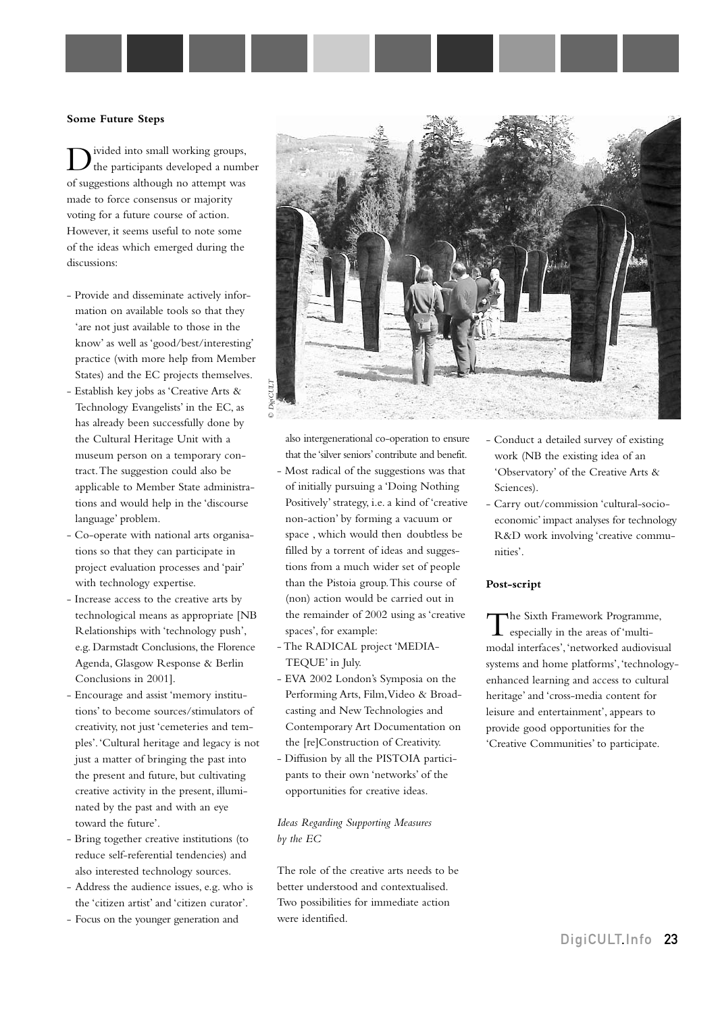#### **Some Future Steps**

Divided into small working groups, the participants developed a number of suggestions although no attempt was made to force consensus or majority voting for a future course of action. However, it seems useful to note some of the ideas which emerged during the discussions:

- Provide and disseminate actively information on available tools so that they 'are not just available to those in the know' as well as 'good/best/interesting' practice (with more help from Member States) and the EC projects themselves.
- Establish key jobs as 'Creative Arts & Technology Evangelists' in the EC, as has already been successfully done by the Cultural Heritage Unit with a museum person on a temporary contract.The suggestion could also be applicable to Member State administrations and would help in the 'discourse language' problem.
- Co-operate with national arts organisations so that they can participate in project evaluation processes and 'pair' with technology expertise.
- Increase access to the creative arts by technological means as appropriate [NB Relationships with 'technology push', e.g. Darmstadt Conclusions, the Florence Agenda, Glasgow Response & Berlin Conclusions in 2001].
- Encourage and assist 'memory institutions' to become sources/stimulators of creativity, not just 'cemeteries and temples'.'Cultural heritage and legacy is not just a matter of bringing the past into the present and future, but cultivating creative activity in the present, illuminated by the past and with an eye toward the future'.
- Bring together creative institutions (to reduce self-referential tendencies) and also interested technology sources.
- Address the audience issues, e.g. who is the 'citizen artist' and 'citizen curator'.
- Focus on the younger generation and



also intergenerational co-operation to ensure that the 'silver seniors' contribute and benefit.

- Most radical of the suggestions was that of initially pursuing a 'Doing Nothing Positively' strategy, i.e. a kind of 'creative non-action' by forming a vacuum or space , which would then doubtless be filled by a torrent of ideas and suggestions from a much wider set of people than the Pistoia group.This course of (non) action would be carried out in the remainder of 2002 using as 'creative spaces', for example:
- The RADICAL project 'MEDIA-TEQUE' in July.
- EVA 2002 London's Symposia on the Performing Arts, Film,Video & Broadcasting and New Technologies and Contemporary Art Documentation on the [re]Construction of Creativity.
- Diffusion by all the PISTOIA participants to their own 'networks' of the opportunities for creative ideas.

### *Ideas Regarding Supporting Measures by the EC*

The role of the creative arts needs to be better understood and contextualised. Two possibilities for immediate action were identified.

- Conduct a detailed survey of existing work (NB the existing idea of an 'Observatory' of the Creative Arts & Sciences).
- Carry out/commission 'cultural-socioeconomic' impact analyses for technology R&D work involving 'creative communities'.

### **Post-script**

The Sixth Framework Programme, especially in the areas of 'multimodal interfaces','networked audiovisual systems and home platforms', 'technologyenhanced learning and access to cultural heritage' and 'cross-media content for leisure and entertainment', appears to provide good opportunities for the 'Creative Communities' to participate.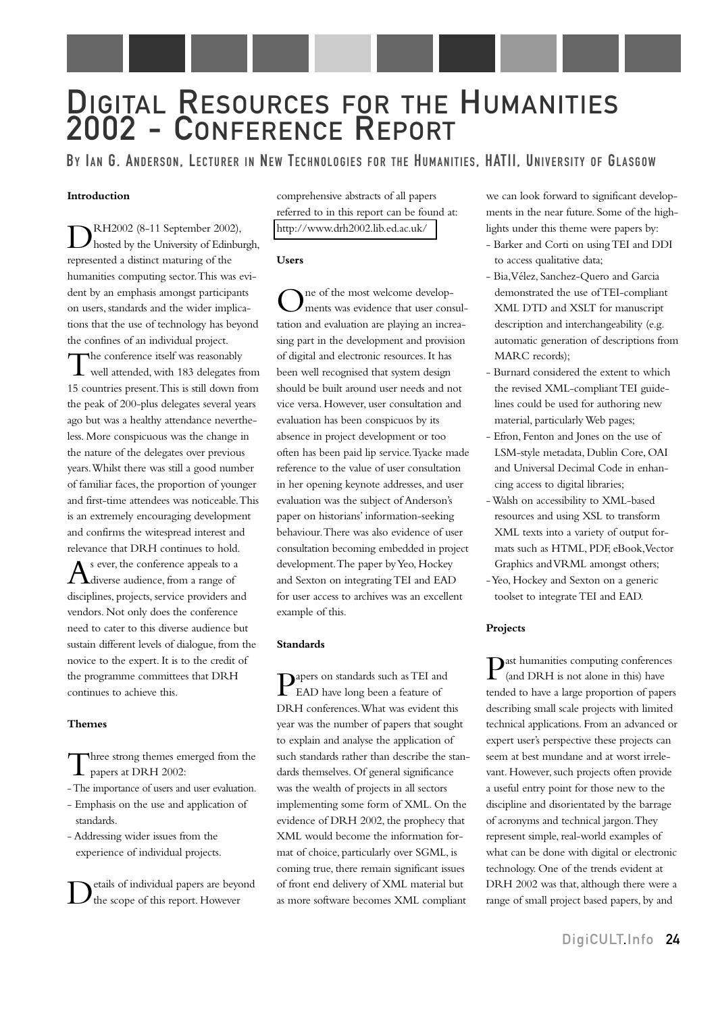### DIGITAL RESOURCES FOR THE HUMANITIES 2002 - CONFERENCE REPORT

BY IAN G. ANDERSON, LECTURER IN NEW TECHNOLOGIES FOR THE HUMANITIES, HATII, UNIVERSITY OF GLASGOW

### **Introduction**

DRH2002 (8-11 September 2002), hosted by the University of Edinburgh, represented a distinct maturing of the humanities computing sector.This was evident by an emphasis amongst participants on users, standards and the wider implications that the use of technology has beyond the confines of an individual project.

The conference itself was reasonably<br>well attended, with 183 delegates from 15 countries present.This is still down from the peak of 200-plus delegates several years ago but was a healthy attendance nevertheless. More conspicuous was the change in the nature of the delegates over previous years.Whilst there was still a good number of familiar faces, the proportion of younger and first-time attendees was noticeable.This is an extremely encouraging development and confirms the witespread interest and relevance that DRH continues to hold.

s ever, the conference appeals to a diverse audience, from a range of disciplines, projects, service providers and vendors. Not only does the conference need to cater to this diverse audience but sustain different levels of dialogue, from the novice to the expert. It is to the credit of the programme committees that DRH continues to achieve this.

### **Themes**

Three strong themes emerged from the  $\perp$  papers at DRH 2002:

- The importance of users and user evaluation.
- Emphasis on the use and application of standards.
- Addressing wider issues from the experience of individual projects.

Details of individual papers are beyond the scope of this report. However

comprehensive abstracts of all papers referred to in this report can be found at: [http://www.drh2002.lib.ed.ac.uk/](http://www.drh2002.lilb.ed.ac.uk)

### **Users**

One of the most welcome develop-<br>ments was evidence that user consultation and evaluation are playing an increasing part in the development and provision of digital and electronic resources. It has been well recognised that system design should be built around user needs and not vice versa. However, user consultation and evaluation has been conspicuos by its absence in project development or too often has been paid lip service.Tyacke made reference to the value of user consultation in her opening keynote addresses, and user evaluation was the subject of Anderson's paper on historians' information-seeking behaviour.There was also evidence of user consultation becoming embedded in project development.The paper by Yeo, Hockey and Sexton on integrating TEI and EAD for user access to archives was an excellent example of this.

#### **Standards**

Papers on standards such as TEI and EAD have long been a feature of DRH conferences.What was evident this year was the number of papers that sought to explain and analyse the application of such standards rather than describe the standards themselves. Of general significance was the wealth of projects in all sectors implementing some form of XML. On the evidence of DRH 2002, the prophecy that XML would become the information format of choice, particularly over SGML, is coming true, there remain significant issues of front end delivery of XML material but as more software becomes XML compliant

we can look forward to significant developments in the near future. Some of the highlights under this theme were papers by:

- Barker and Corti on using TEI and DDI to access qualitative data;
- Bia,Vélez, Sanchez-Quero and Garcia demonstrated the use of TEI-compliant XML DTD and XSLT for manuscript description and interchangeability (e.g. automatic generation of descriptions from MARC records);
- Burnard considered the extent to which the revised XML-compliant TEI guidelines could be used for authoring new material, particularly Web pages;
- Efron, Fenton and Jones on the use of LSM-style metadata, Dublin Core, OAI and Universal Decimal Code in enhancing access to digital libraries;
- Walsh on accessibility to XML-based resources and using XSL to transform XML texts into a variety of output formats such as HTML, PDF, eBook,Vector Graphics and VRML amongst others;
- Yeo, Hockey and Sexton on a generic toolset to integrate TEI and EAD.

### **Projects**

 $\mathbf{P}_{\text{(and DD I)}}^{\text{ast luminosity}}$ (and DRH is not alone in this) have tended to have a large proportion of papers describing small scale projects with limited technical applications. From an advanced or expert user's perspective these projects can seem at best mundane and at worst irrelevant. However, such projects often provide a useful entry point for those new to the discipline and disorientated by the barrage of acronyms and technical jargon.They represent simple, real-world examples of what can be done with digital or electronic technology. One of the trends evident at DRH 2002 was that, although there were a range of small project based papers, by and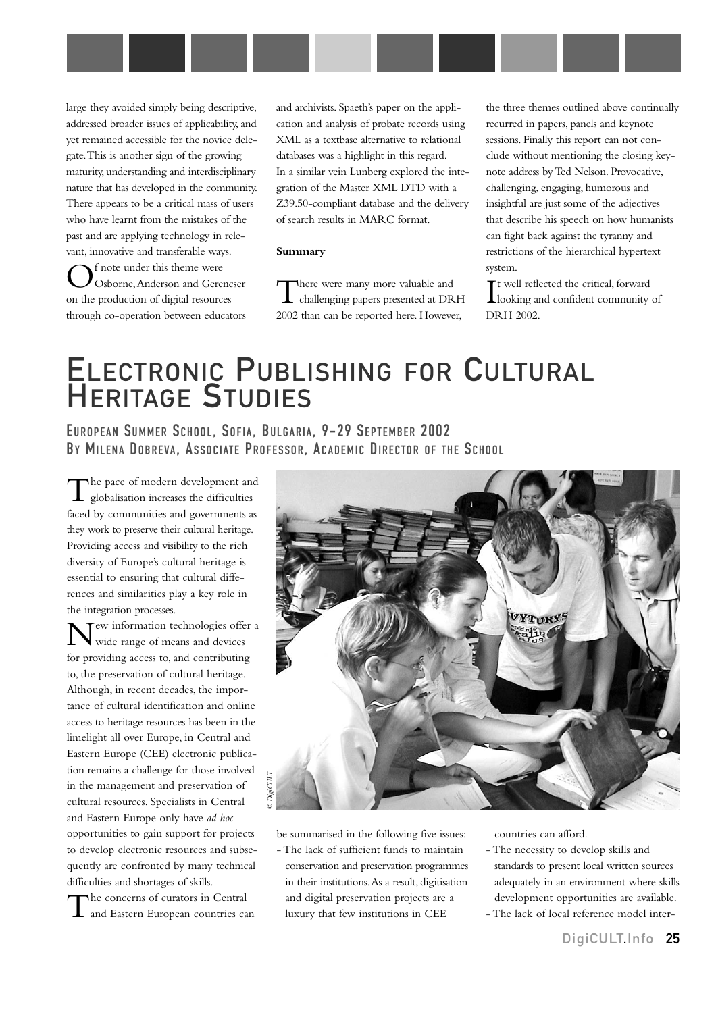

large they avoided simply being descriptive, addressed broader issues of applicability, and yet remained accessible for the novice delegate.This is another sign of the growing maturity, understanding and interdisciplinary nature that has developed in the community. There appears to be a critical mass of users who have learnt from the mistakes of the past and are applying technology in relevant, innovative and transferable ways. Of note under this theme were Osborne,Anderson and Gerencser on the production of digital resources through co-operation between educators

and archivists. Spaeth's paper on the application and analysis of probate records using XML as a textbase alternative to relational databases was a highlight in this regard. In a similar vein Lunberg explored the integration of the Master XML DTD with a Z39.50-compliant database and the delivery of search results in MARC format.

#### **Summary**

There were many more valuable and challenging papers presented at DRH 2002 than can be reported here. However,

the three themes outlined above continually recurred in papers, panels and keynote sessions. Finally this report can not conclude without mentioning the closing keynote address by Ted Nelson. Provocative, challenging, engaging, humorous and insightful are just some of the adjectives that describe his speech on how humanists can fight back against the tyranny and restrictions of the hierarchical hypertext system.

I looking and confident community of t well reflected the critical, forward DRH 2002.

### **ELECTRONIC PUBLISHING FOR CULTURAL** HERITAGE STUDIES

EUROPEAN SUMMER SCHOOL, SOFIA, BULGARIA, 9-29 SEPTEMBER 2002 BY MILENA DOBREVA, ASSOCIATE PROFESSOR, ACADEMIC DIRECTOR OF THE SCHOOL

The pace of modern development and globalisation increases the difficulties faced by communities and governments as they work to preserve their cultural heritage. Providing access and visibility to the rich diversity of Europe's cultural heritage is essential to ensuring that cultural differences and similarities play a key role in the integration processes.

Tew information technologies offer a wide range of means and devices for providing access to, and contributing to, the preservation of cultural heritage. Although, in recent decades, the importance of cultural identification and online access to heritage resources has been in the limelight all over Europe, in Central and Eastern Europe (CEE) electronic publication remains a challenge for those involved in the management and preservation of cultural resources. Specialists in Central and Eastern Europe only have *ad hoc* opportunities to gain support for projects to develop electronic resources and subsequently are confronted by many technical difficulties and shortages of skills.

The concerns of curators in Central and Eastern European countries can



be summarised in the following five issues:

- The lack of sufficient funds to maintain conservation and preservation programmes in their institutions.As a result, digitisation and digital preservation projects are a luxury that few institutions in CEE

countries can afford.

- The necessity to develop skills and standards to present local written sources adequately in an environment where skills development opportunities are available.
- The lack of local reference model inter-